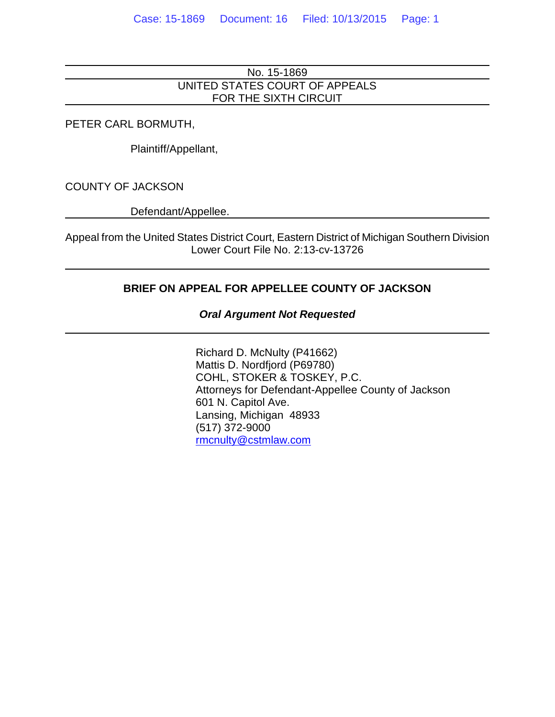## No. 15-1869 UNITED STATES COURT OF APPEALS FOR THE SIXTH CIRCUIT

PETER CARL BORMUTH,

Plaintiff/Appellant,

COUNTY OF JACKSON

Defendant/Appellee.

Appeal from the United States District Court, Eastern District of Michigan Southern Division Lower Court File No. 2:13-cv-13726

## **BRIEF ON APPEAL FOR APPELLEE COUNTY OF JACKSON**

### *Oral Argument Not Requested*

Richard D. McNulty (P41662) Mattis D. Nordfjord (P69780) COHL, STOKER & TOSKEY, P.C. Attorneys for Defendant-Appellee County of Jackson 601 N. Capitol Ave. Lansing, Michigan 48933 (517) 372-9000 [rmcnulty@cstmlaw.com](mailto:rmcnulty@cstmlaw.com)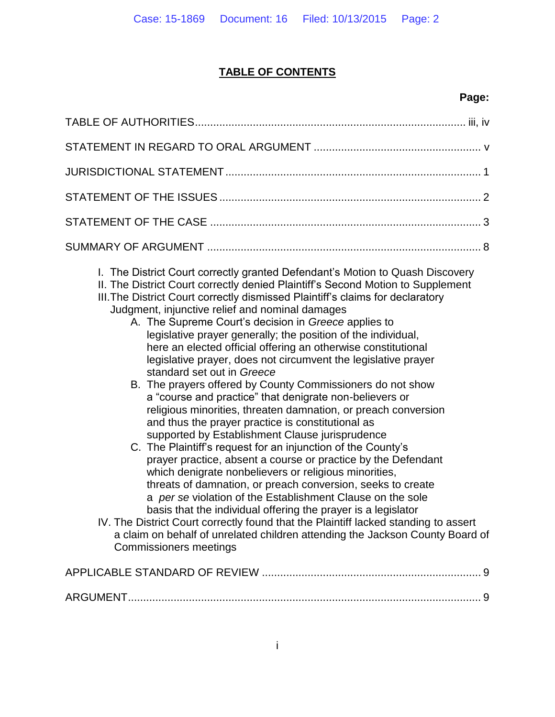# **TABLE OF CONTENTS**

# **Page:**

| I. The District Court correctly granted Defendant's Motion to Quash Discovery<br>II. The District Court correctly denied Plaintiff's Second Motion to Supplement<br>III. The District Court correctly dismissed Plaintiff's claims for declaratory<br>Judgment, injunctive relief and nominal damages<br>A. The Supreme Court's decision in Greece applies to<br>legislative prayer generally; the position of the individual,<br>here an elected official offering an otherwise constitutional<br>legislative prayer, does not circumvent the legislative prayer<br>standard set out in Greece<br>B. The prayers offered by County Commissioners do not show<br>a "course and practice" that denigrate non-believers or<br>religious minorities, threaten damnation, or preach conversion<br>and thus the prayer practice is constitutional as<br>supported by Establishment Clause jurisprudence<br>C. The Plaintiff's request for an injunction of the County's<br>prayer practice, absent a course or practice by the Defendant<br>which denigrate nonbelievers or religious minorities,<br>threats of damnation, or preach conversion, seeks to create<br>a per se violation of the Establishment Clause on the sole<br>basis that the individual offering the prayer is a legislator<br>IV. The District Court correctly found that the Plaintiff lacked standing to assert<br>a claim on behalf of unrelated children attending the Jackson County Board of<br><b>Commissioners meetings</b> |
|-----------------------------------------------------------------------------------------------------------------------------------------------------------------------------------------------------------------------------------------------------------------------------------------------------------------------------------------------------------------------------------------------------------------------------------------------------------------------------------------------------------------------------------------------------------------------------------------------------------------------------------------------------------------------------------------------------------------------------------------------------------------------------------------------------------------------------------------------------------------------------------------------------------------------------------------------------------------------------------------------------------------------------------------------------------------------------------------------------------------------------------------------------------------------------------------------------------------------------------------------------------------------------------------------------------------------------------------------------------------------------------------------------------------------------------------------------------------------------------------------------|
|                                                                                                                                                                                                                                                                                                                                                                                                                                                                                                                                                                                                                                                                                                                                                                                                                                                                                                                                                                                                                                                                                                                                                                                                                                                                                                                                                                                                                                                                                                     |
|                                                                                                                                                                                                                                                                                                                                                                                                                                                                                                                                                                                                                                                                                                                                                                                                                                                                                                                                                                                                                                                                                                                                                                                                                                                                                                                                                                                                                                                                                                     |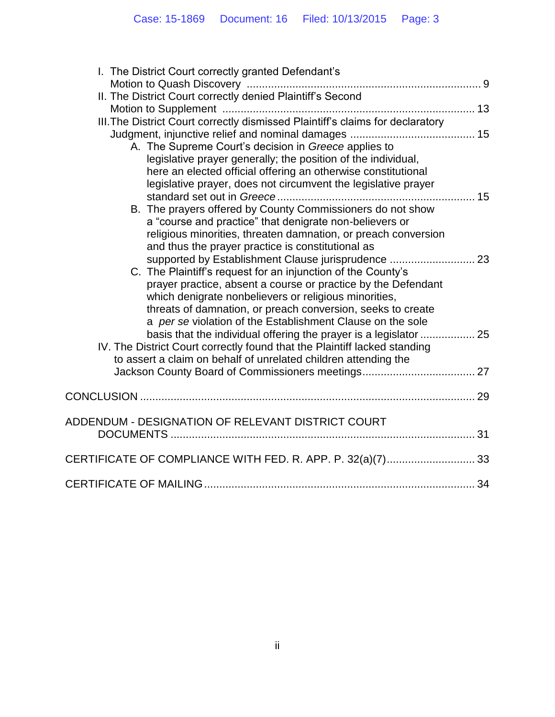| I. The District Court correctly granted Defendant's                                                                                            |  |
|------------------------------------------------------------------------------------------------------------------------------------------------|--|
|                                                                                                                                                |  |
| II. The District Court correctly denied Plaintiff's Second                                                                                     |  |
|                                                                                                                                                |  |
| III. The District Court correctly dismissed Plaintiff's claims for declaratory                                                                 |  |
| A. The Supreme Court's decision in Greece applies to                                                                                           |  |
| legislative prayer generally; the position of the individual,                                                                                  |  |
| here an elected official offering an otherwise constitutional                                                                                  |  |
| legislative prayer, does not circumvent the legislative prayer                                                                                 |  |
|                                                                                                                                                |  |
| B. The prayers offered by County Commissioners do not show                                                                                     |  |
| a "course and practice" that denigrate non-believers or                                                                                        |  |
| religious minorities, threaten damnation, or preach conversion                                                                                 |  |
| and thus the prayer practice is constitutional as                                                                                              |  |
| supported by Establishment Clause jurisprudence  23                                                                                            |  |
| C. The Plaintiff's request for an injunction of the County's                                                                                   |  |
| prayer practice, absent a course or practice by the Defendant                                                                                  |  |
| which denigrate nonbelievers or religious minorities,                                                                                          |  |
| threats of damnation, or preach conversion, seeks to create                                                                                    |  |
| a per se violation of the Establishment Clause on the sole                                                                                     |  |
| basis that the individual offering the prayer is a legislator  25<br>IV. The District Court correctly found that the Plaintiff lacked standing |  |
| to assert a claim on behalf of unrelated children attending the                                                                                |  |
|                                                                                                                                                |  |
|                                                                                                                                                |  |
|                                                                                                                                                |  |
|                                                                                                                                                |  |
| ADDENDUM - DESIGNATION OF RELEVANT DISTRICT COURT                                                                                              |  |
|                                                                                                                                                |  |
|                                                                                                                                                |  |
| CERTIFICATE OF COMPLIANCE WITH FED. R. APP. P. 32(a)(7)33                                                                                      |  |
|                                                                                                                                                |  |
|                                                                                                                                                |  |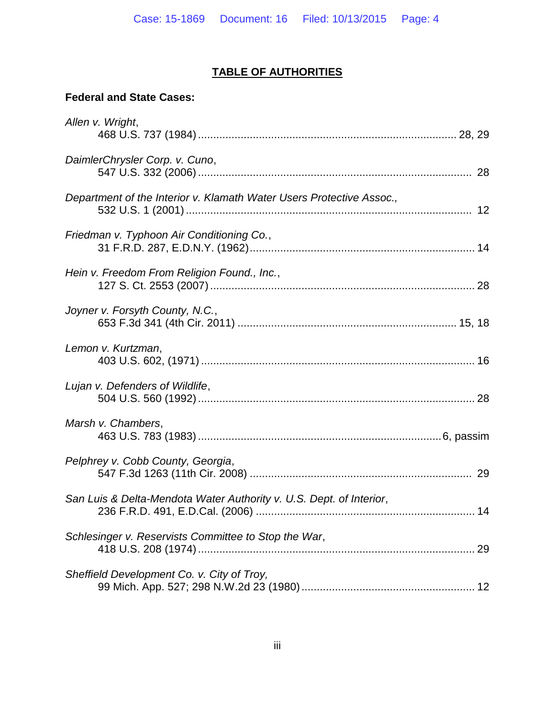# **TABLE OF AUTHORITIES**

## **Federal and State Cases:**

| Allen v. Wright,                                                     |  |
|----------------------------------------------------------------------|--|
| DaimlerChrysler Corp. v. Cuno,                                       |  |
| Department of the Interior v. Klamath Water Users Protective Assoc., |  |
| Friedman v. Typhoon Air Conditioning Co.,                            |  |
| Hein v. Freedom From Religion Found., Inc.,                          |  |
| Joyner v. Forsyth County, N.C.,                                      |  |
| Lemon v. Kurtzman,                                                   |  |
| Lujan v. Defenders of Wildlife,                                      |  |
| Marsh v. Chambers,                                                   |  |
| Pelphrey v. Cobb County, Georgia,                                    |  |
| San Luis & Delta-Mendota Water Authority v. U.S. Dept. of Interior,  |  |
| Schlesinger v. Reservists Committee to Stop the War,                 |  |
| Sheffield Development Co. v. City of Troy,                           |  |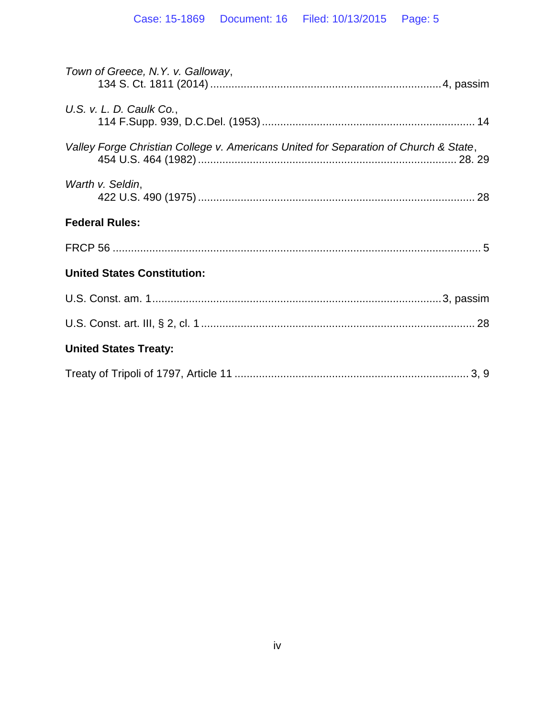| Town of Greece, N.Y. v. Galloway,                                                    |
|--------------------------------------------------------------------------------------|
| U.S. v. L. D. Caulk Co.,                                                             |
| Valley Forge Christian College v. Americans United for Separation of Church & State, |
| Warth v. Seldin,                                                                     |
| <b>Federal Rules:</b>                                                                |
|                                                                                      |
| <b>United States Constitution:</b>                                                   |
|                                                                                      |
|                                                                                      |
| <b>United States Treaty:</b>                                                         |
|                                                                                      |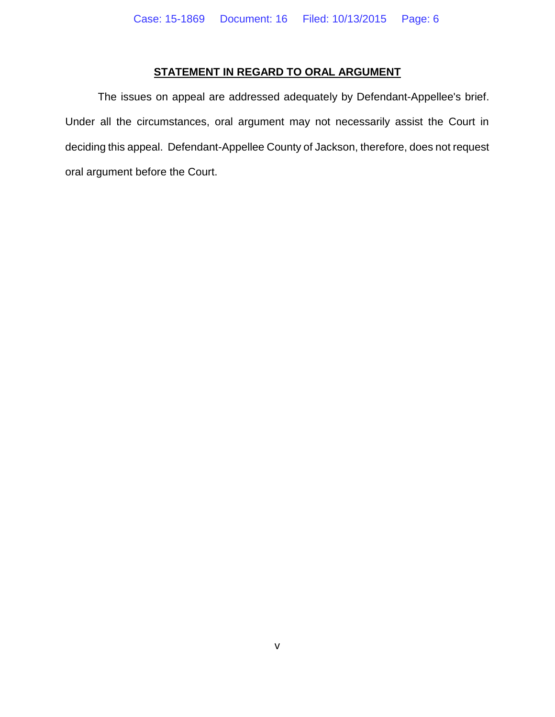## **STATEMENT IN REGARD TO ORAL ARGUMENT**

The issues on appeal are addressed adequately by Defendant-Appellee's brief. Under all the circumstances, oral argument may not necessarily assist the Court in deciding this appeal. Defendant-Appellee County of Jackson, therefore, does not request oral argument before the Court.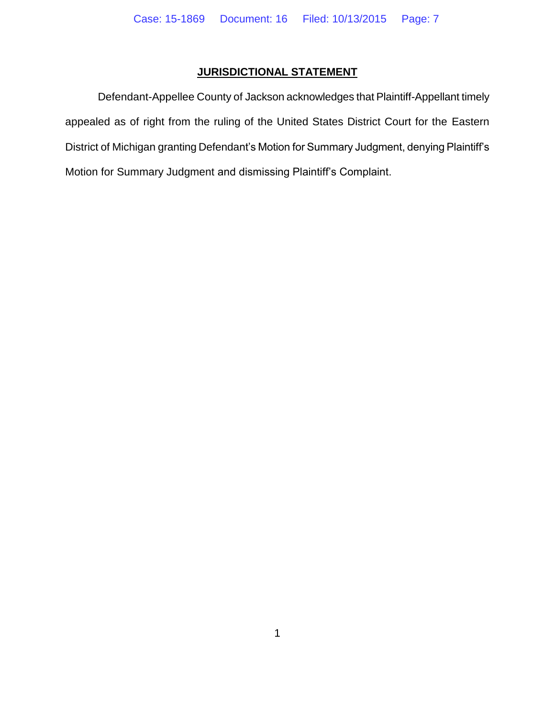## **JURISDICTIONAL STATEMENT**

Defendant-Appellee County of Jackson acknowledges that Plaintiff-Appellant timely appealed as of right from the ruling of the United States District Court for the Eastern District of Michigan granting Defendant's Motion for Summary Judgment, denying Plaintiff's Motion for Summary Judgment and dismissing Plaintiff's Complaint.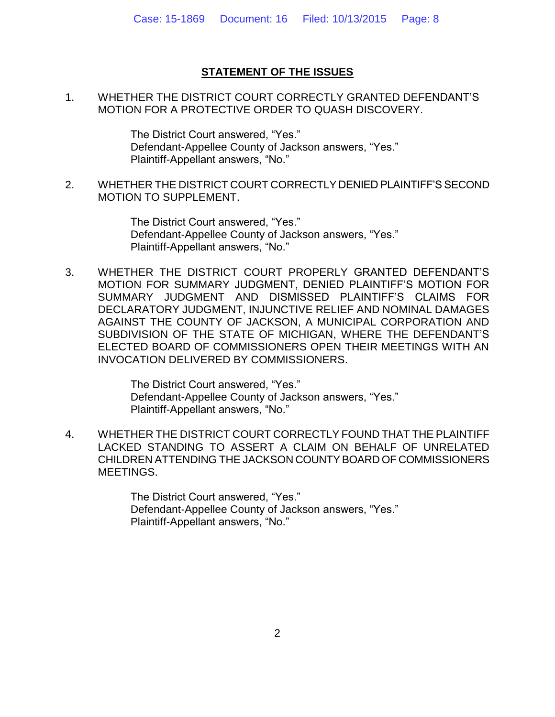## **STATEMENT OF THE ISSUES**

1. WHETHER THE DISTRICT COURT CORRECTLY GRANTED DEFENDANT'S MOTION FOR A PROTECTIVE ORDER TO QUASH DISCOVERY.

> The District Court answered, "Yes." Defendant-Appellee County of Jackson answers, "Yes." Plaintiff-Appellant answers, "No."

2. WHETHER THE DISTRICT COURT CORRECTLY DENIED PLAINTIFF'S SECOND MOTION TO SUPPLEMENT.

> The District Court answered, "Yes." Defendant-Appellee County of Jackson answers, "Yes." Plaintiff-Appellant answers, "No."

3. WHETHER THE DISTRICT COURT PROPERLY GRANTED DEFENDANT'S MOTION FOR SUMMARY JUDGMENT, DENIED PLAINTIFF'S MOTION FOR SUMMARY JUDGMENT AND DISMISSED PLAINTIFF'S CLAIMS FOR DECLARATORY JUDGMENT, INJUNCTIVE RELIEF AND NOMINAL DAMAGES AGAINST THE COUNTY OF JACKSON, A MUNICIPAL CORPORATION AND SUBDIVISION OF THE STATE OF MICHIGAN, WHERE THE DEFENDANT'S ELECTED BOARD OF COMMISSIONERS OPEN THEIR MEETINGS WITH AN INVOCATION DELIVERED BY COMMISSIONERS.

> The District Court answered, "Yes." Defendant-Appellee County of Jackson answers, "Yes." Plaintiff-Appellant answers, "No."

4. WHETHER THE DISTRICT COURT CORRECTLY FOUND THAT THE PLAINTIFF LACKED STANDING TO ASSERT A CLAIM ON BEHALF OF UNRELATED CHILDREN ATTENDING THE JACKSON COUNTY BOARD OF COMMISSIONERS MEETINGS.

> The District Court answered, "Yes." Defendant-Appellee County of Jackson answers, "Yes." Plaintiff-Appellant answers, "No."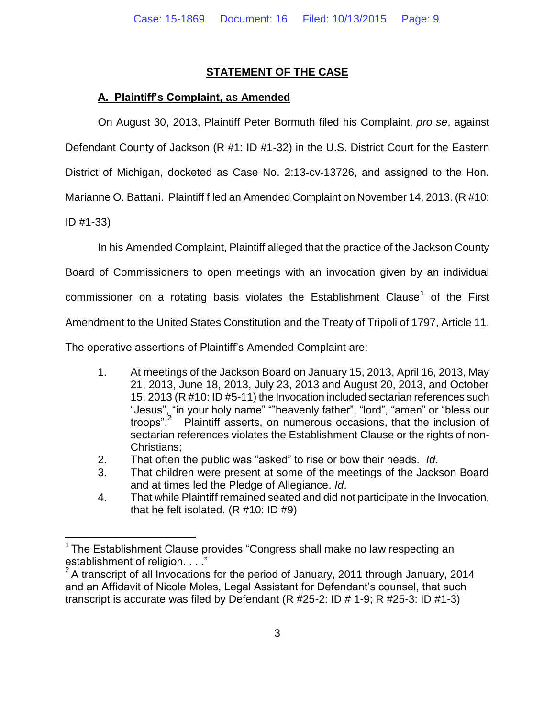## **STATEMENT OF THE CASE**

## **A. Plaintiff's Complaint, as Amended**

On August 30, 2013, Plaintiff Peter Bormuth filed his Complaint, *pro se*, against

Defendant County of Jackson (R #1: ID #1-32) in the U.S. District Court for the Eastern

District of Michigan, docketed as Case No. 2:13-cv-13726, and assigned to the Hon.

Marianne O. Battani. Plaintiff filed an Amended Complaint on November 14, 2013. (R #10:

ID #1-33)

 $\overline{a}$ 

In his Amended Complaint, Plaintiff alleged that the practice of the Jackson County

Board of Commissioners to open meetings with an invocation given by an individual

commissioner on a rotating basis violates the Establishment Clause<sup>1</sup> of the First

Amendment to the United States Constitution and the Treaty of Tripoli of 1797, Article 11.

The operative assertions of Plaintiff's Amended Complaint are:

- 1. At meetings of the Jackson Board on January 15, 2013, April 16, 2013, May 21, 2013, June 18, 2013, July 23, 2013 and August 20, 2013, and October 15, 2013 (R #10: ID #5-11) the Invocation included sectarian references such "Jesus", "in your holy name" ""heavenly father", "lord", "amen" or "bless our troops"<sup>2</sup> Plaintiff asserts, on numerous occasions, that the inclusion of sectarian references violates the Establishment Clause or the rights of non-Christians;
- 2. That often the public was "asked" to rise or bow their heads. *Id*.
- 3. That children were present at some of the meetings of the Jackson Board and at times led the Pledge of Allegiance. *Id*.
- 4. That while Plaintiff remained seated and did not participate in the Invocation, that he felt isolated. (R #10: ID #9)

<sup>&</sup>lt;sup>1</sup> The Establishment Clause provides "Congress shall make no law respecting an establishment of religion. . . ."

 $2^2$ A transcript of all Invocations for the period of January, 2011 through January, 2014 and an Affidavit of Nicole Moles, Legal Assistant for Defendant's counsel, that such transcript is accurate was filed by Defendant (R #25-2: ID # 1-9; R #25-3: ID #1-3)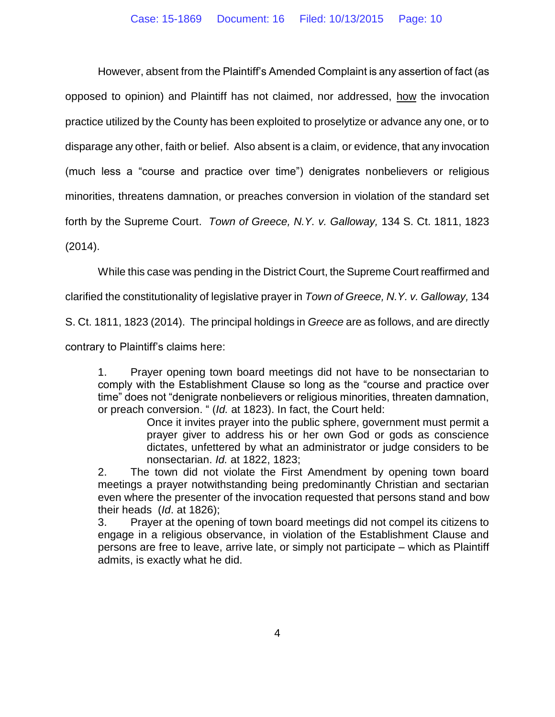However, absent from the Plaintiff's Amended Complaint is any assertion of fact (as opposed to opinion) and Plaintiff has not claimed, nor addressed, how the invocation practice utilized by the County has been exploited to proselytize or advance any one, or to disparage any other, faith or belief. Also absent is a claim, or evidence, that any invocation (much less a "course and practice over time") denigrates nonbelievers or religious minorities, threatens damnation, or preaches conversion in violation of the standard set forth by the Supreme Court. *Town of Greece, N.Y. v. Galloway,* 134 S. Ct. 1811, 1823 (2014).

While this case was pending in the District Court, the Supreme Court reaffirmed and

clarified the constitutionality of legislative prayer in *Town of Greece, N.Y. v. Galloway,* 134

S. Ct. 1811, 1823 (2014). The principal holdings in *Greece* are as follows, and are directly

contrary to Plaintiff's claims here:

1. Prayer opening town board meetings did not have to be nonsectarian to comply with the Establishment Clause so long as the "course and practice over time" does not "denigrate nonbelievers or religious minorities, threaten damnation, or preach conversion. " (*Id.* at 1823). In fact, the Court held:

Once it invites prayer into the public sphere, government must permit a prayer giver to address his or her own God or gods as conscience dictates, unfettered by what an administrator or judge considers to be nonsectarian. *Id.* at 1822, 1823;

2. The town did not violate the First Amendment by opening town board meetings a prayer notwithstanding being predominantly Christian and sectarian even where the presenter of the invocation requested that persons stand and bow their heads (*Id*. at 1826);

3. Prayer at the opening of town board meetings did not compel its citizens to engage in a religious observance, in violation of the Establishment Clause and persons are free to leave, arrive late, or simply not participate – which as Plaintiff admits, is exactly what he did.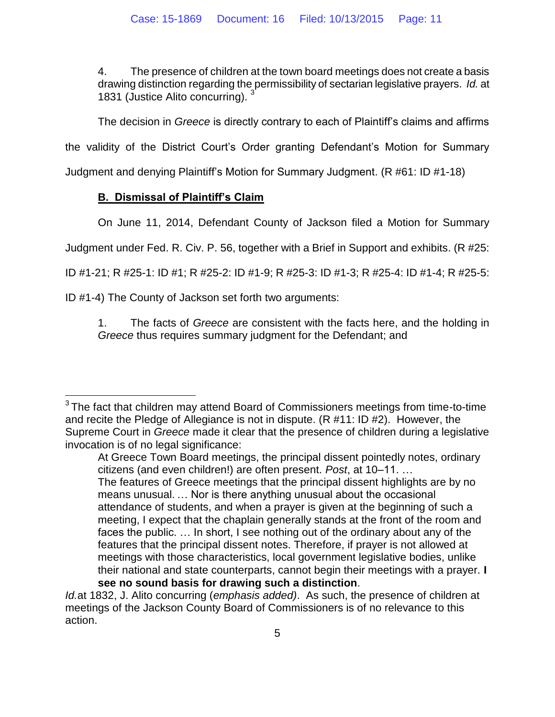4. The presence of children at the town board meetings does not create a basis drawing distinction regarding the permissibility of sectarian legislative prayers. *Id.* at 1831 (Justice Alito concurring). <sup>3</sup>

The decision in *Greece* is directly contrary to each of Plaintiff's claims and affirms

the validity of the District Court's Order granting Defendant's Motion for Summary

Judgment and denying Plaintiff's Motion for Summary Judgment. (R #61: ID #1-18)

## **B. Dismissal of Plaintiff's Claim**

On June 11, 2014, Defendant County of Jackson filed a Motion for Summary

Judgment under Fed. R. Civ. P. 56, together with a Brief in Support and exhibits. (R #25:

ID #1-21; R #25-1: ID #1; R #25-2: ID #1-9; R #25-3: ID #1-3; R #25-4: ID #1-4; R #25-5:

ID #1-4) The County of Jackson set forth two arguments:

1. The facts of *Greece* are consistent with the facts here, and the holding in *Greece* thus requires summary judgment for the Defendant; and

features that the principal dissent notes. Therefore, if prayer is not allowed at meetings with those characteristics, local government legislative bodies, unlike their national and state counterparts, cannot begin their meetings with a prayer. **I see no sound basis for drawing such a distinction**.

*Id.*at 1832, J. Alito concurring (*emphasis added)*. As such, the presence of children at meetings of the Jackson County Board of Commissioners is of no relevance to this action.

 $\overline{a}$  $3$ The fact that children may attend Board of Commissioners meetings from time-to-time and recite the Pledge of Allegiance is not in dispute. (R #11: ID #2). However, the Supreme Court in *Greece* made it clear that the presence of children during a legislative invocation is of no legal significance:

At Greece Town Board meetings, the principal dissent pointedly notes, ordinary citizens (and even children!) are often present. *Post*, at 10–11. … The features of Greece meetings that the principal dissent highlights are by no means unusual. … Nor is there anything unusual about the occasional attendance of students, and when a prayer is given at the beginning of such a meeting, I expect that the chaplain generally stands at the front of the room and faces the public. … In short, I see nothing out of the ordinary about any of the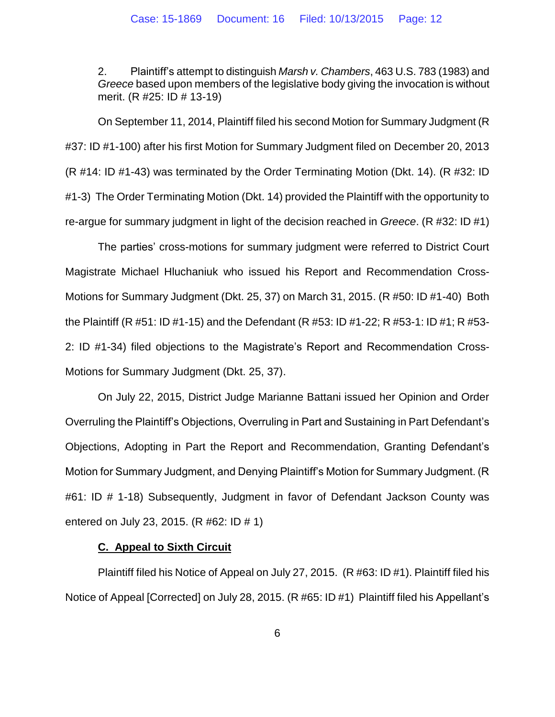2. Plaintiff's attempt to distinguish *Marsh v. Chambers*, 463 U.S. 783 (1983) and *Greece* based upon members of the legislative body giving the invocation is without merit. (R #25: ID # 13-19)

On September 11, 2014, Plaintiff filed his second Motion for Summary Judgment (R #37: ID #1-100) after his first Motion for Summary Judgment filed on December 20, 2013 (R #14: ID #1-43) was terminated by the Order Terminating Motion (Dkt. 14). (R #32: ID #1-3) The Order Terminating Motion (Dkt. 14) provided the Plaintiff with the opportunity to re-argue for summary judgment in light of the decision reached in *Greece*. (R #32: ID #1)

The parties' cross-motions for summary judgment were referred to District Court Magistrate Michael Hluchaniuk who issued his Report and Recommendation Cross-Motions for Summary Judgment (Dkt. 25, 37) on March 31, 2015. (R #50: ID #1-40) Both the Plaintiff (R #51: ID #1-15) and the Defendant (R #53: ID #1-22; R #53-1: ID #1; R #53- 2: ID #1-34) filed objections to the Magistrate's Report and Recommendation Cross-Motions for Summary Judgment (Dkt. 25, 37).

On July 22, 2015, District Judge Marianne Battani issued her Opinion and Order Overruling the Plaintiff's Objections, Overruling in Part and Sustaining in Part Defendant's Objections, Adopting in Part the Report and Recommendation, Granting Defendant's Motion for Summary Judgment, and Denying Plaintiff's Motion for Summary Judgment. (R #61: ID # 1-18) Subsequently, Judgment in favor of Defendant Jackson County was entered on July 23, 2015. (R #62: ID # 1)

#### **C. Appeal to Sixth Circuit**

Plaintiff filed his Notice of Appeal on July 27, 2015. (R #63: ID #1). Plaintiff filed his Notice of Appeal [Corrected] on July 28, 2015. (R #65: ID #1) Plaintiff filed his Appellant's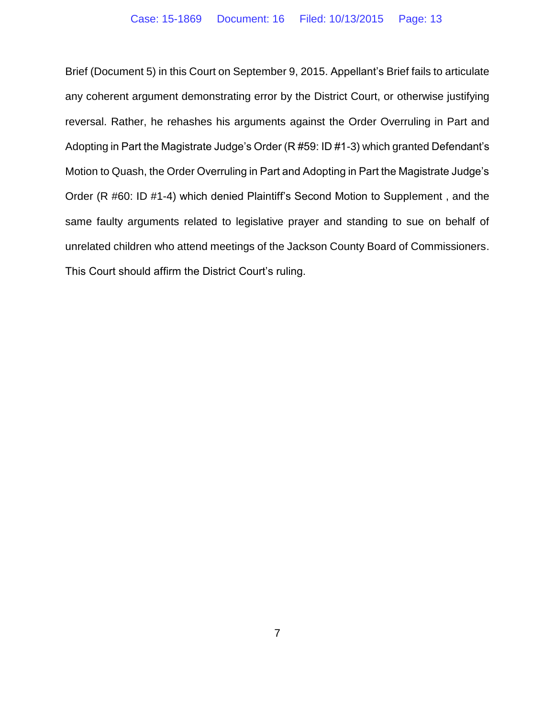Brief (Document 5) in this Court on September 9, 2015. Appellant's Brief fails to articulate any coherent argument demonstrating error by the District Court, or otherwise justifying reversal. Rather, he rehashes his arguments against the Order Overruling in Part and Adopting in Part the Magistrate Judge's Order (R #59: ID #1-3) which granted Defendant's Motion to Quash, the Order Overruling in Part and Adopting in Part the Magistrate Judge's Order (R #60: ID #1-4) which denied Plaintiff's Second Motion to Supplement , and the same faulty arguments related to legislative prayer and standing to sue on behalf of unrelated children who attend meetings of the Jackson County Board of Commissioners. This Court should affirm the District Court's ruling.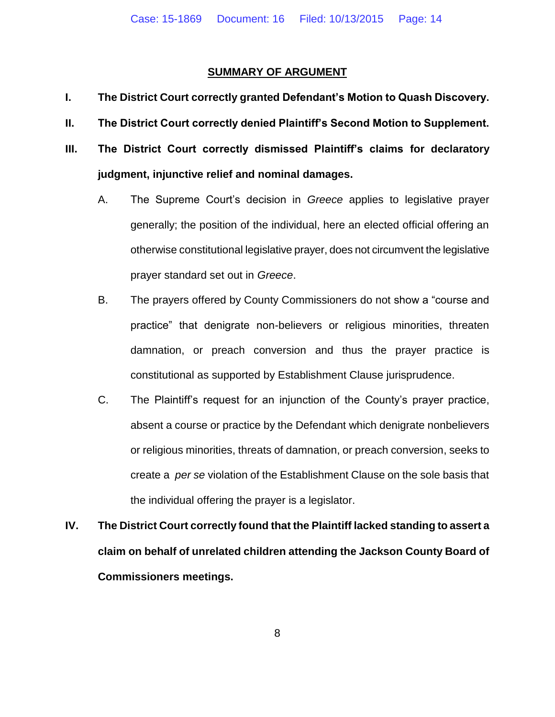#### **SUMMARY OF ARGUMENT**

- **I. The District Court correctly granted Defendant's Motion to Quash Discovery.**
- **II. The District Court correctly denied Plaintiff's Second Motion to Supplement.**
- **III. The District Court correctly dismissed Plaintiff's claims for declaratory judgment, injunctive relief and nominal damages.**
	- A. The Supreme Court's decision in *Greece* applies to legislative prayer generally; the position of the individual, here an elected official offering an otherwise constitutional legislative prayer, does not circumvent the legislative prayer standard set out in *Greece*.
	- B. The prayers offered by County Commissioners do not show a "course and practice" that denigrate non-believers or religious minorities, threaten damnation, or preach conversion and thus the prayer practice is constitutional as supported by Establishment Clause jurisprudence.
	- C. The Plaintiff's request for an injunction of the County's prayer practice, absent a course or practice by the Defendant which denigrate nonbelievers or religious minorities, threats of damnation, or preach conversion, seeks to create a *per se* violation of the Establishment Clause on the sole basis that the individual offering the prayer is a legislator.
- **IV. The District Court correctly found that the Plaintiff lacked standing to assert a claim on behalf of unrelated children attending the Jackson County Board of Commissioners meetings.**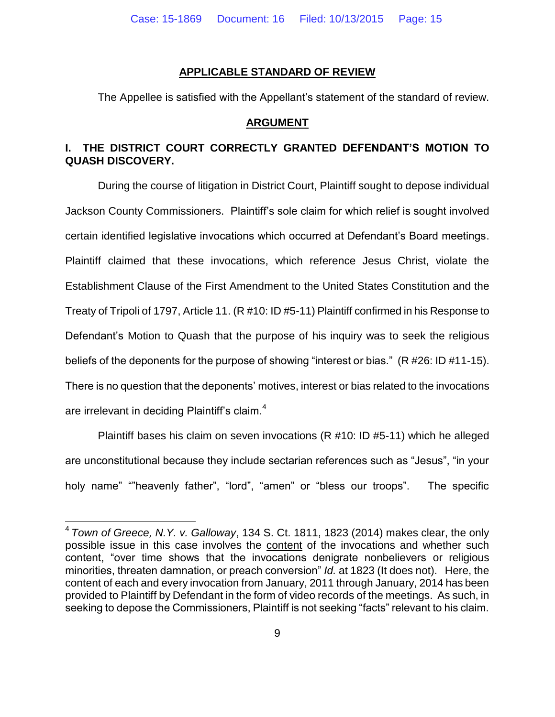#### **APPLICABLE STANDARD OF REVIEW**

The Appellee is satisfied with the Appellant's statement of the standard of review.

#### **ARGUMENT**

## **I. THE DISTRICT COURT CORRECTLY GRANTED DEFENDANT'S MOTION TO QUASH DISCOVERY.**

During the course of litigation in District Court, Plaintiff sought to depose individual Jackson County Commissioners. Plaintiff's sole claim for which relief is sought involved certain identified legislative invocations which occurred at Defendant's Board meetings. Plaintiff claimed that these invocations, which reference Jesus Christ, violate the Establishment Clause of the First Amendment to the United States Constitution and the Treaty of Tripoli of 1797, Article 11. (R #10: ID #5-11) Plaintiff confirmed in his Response to Defendant's Motion to Quash that the purpose of his inquiry was to seek the religious beliefs of the deponents for the purpose of showing "interest or bias." (R #26: ID #11-15). There is no question that the deponents' motives, interest or bias related to the invocations are irrelevant in deciding Plaintiff's claim. $4$ 

Plaintiff bases his claim on seven invocations (R #10: ID #5-11) which he alleged are unconstitutional because they include sectarian references such as "Jesus", "in your holy name" ""heavenly father", "lord", "amen" or "bless our troops". The specific

 $\overline{a}$ 

<sup>4</sup> *Town of Greece, N.Y. v. Galloway*, 134 S. Ct. 1811, 1823 (2014) makes clear, the only possible issue in this case involves the content of the invocations and whether such content, "over time shows that the invocations denigrate nonbelievers or religious minorities, threaten damnation, or preach conversion" *Id.* at 1823 (It does not). Here, the content of each and every invocation from January, 2011 through January, 2014 has been provided to Plaintiff by Defendant in the form of video records of the meetings. As such, in seeking to depose the Commissioners, Plaintiff is not seeking "facts" relevant to his claim.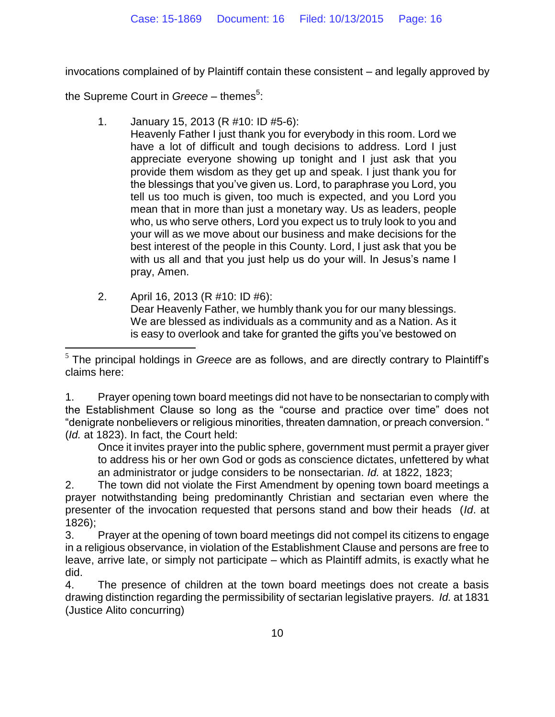invocations complained of by Plaintiff contain these consistent – and legally approved by

the Supreme Court in *Greece* – themes<sup>5</sup>:

 $\overline{a}$ 

- 1. January 15, 2013 (R #10: ID #5-6):
	- Heavenly Father I just thank you for everybody in this room. Lord we have a lot of difficult and tough decisions to address. Lord I just appreciate everyone showing up tonight and I just ask that you provide them wisdom as they get up and speak. I just thank you for the blessings that you've given us. Lord, to paraphrase you Lord, you tell us too much is given, too much is expected, and you Lord you mean that in more than just a monetary way. Us as leaders, people who, us who serve others, Lord you expect us to truly look to you and your will as we move about our business and make decisions for the best interest of the people in this County. Lord, I just ask that you be with us all and that you just help us do your will. In Jesus's name I pray, Amen.
- 2. April 16, 2013 (R #10: ID #6): Dear Heavenly Father, we humbly thank you for our many blessings. We are blessed as individuals as a community and as a Nation. As it is easy to overlook and take for granted the gifts you've bestowed on

1. Prayer opening town board meetings did not have to be nonsectarian to comply with the Establishment Clause so long as the "course and practice over time" does not "denigrate nonbelievers or religious minorities, threaten damnation, or preach conversion. " (*Id.* at 1823). In fact, the Court held:

Once it invites prayer into the public sphere, government must permit a prayer giver to address his or her own God or gods as conscience dictates, unfettered by what an administrator or judge considers to be nonsectarian. *Id.* at 1822, 1823;

2. The town did not violate the First Amendment by opening town board meetings a prayer notwithstanding being predominantly Christian and sectarian even where the presenter of the invocation requested that persons stand and bow their heads (*Id*. at 1826);

3. Prayer at the opening of town board meetings did not compel its citizens to engage in a religious observance, in violation of the Establishment Clause and persons are free to leave, arrive late, or simply not participate – which as Plaintiff admits, is exactly what he did.

4. The presence of children at the town board meetings does not create a basis drawing distinction regarding the permissibility of sectarian legislative prayers. *Id.* at 1831 (Justice Alito concurring)

<sup>5</sup> The principal holdings in *Greece* are as follows, and are directly contrary to Plaintiff's claims here: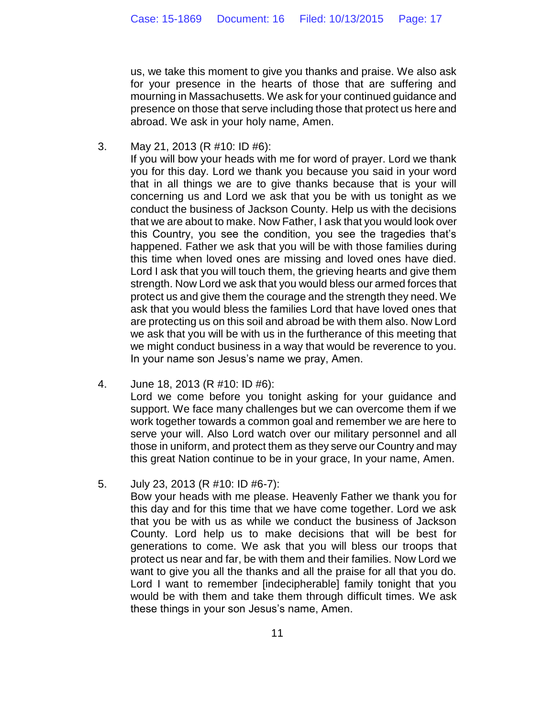us, we take this moment to give you thanks and praise. We also ask for your presence in the hearts of those that are suffering and mourning in Massachusetts. We ask for your continued guidance and presence on those that serve including those that protect us here and abroad. We ask in your holy name, Amen.

3. May 21, 2013 (R #10: ID #6):

If you will bow your heads with me for word of prayer. Lord we thank you for this day. Lord we thank you because you said in your word that in all things we are to give thanks because that is your will concerning us and Lord we ask that you be with us tonight as we conduct the business of Jackson County. Help us with the decisions that we are about to make. Now Father, I ask that you would look over this Country, you see the condition, you see the tragedies that's happened. Father we ask that you will be with those families during this time when loved ones are missing and loved ones have died. Lord I ask that you will touch them, the grieving hearts and give them strength. Now Lord we ask that you would bless our armed forces that protect us and give them the courage and the strength they need. We ask that you would bless the families Lord that have loved ones that are protecting us on this soil and abroad be with them also. Now Lord we ask that you will be with us in the furtherance of this meeting that we might conduct business in a way that would be reverence to you. In your name son Jesus's name we pray, Amen.

- 4. June 18, 2013 (R #10: ID #6): Lord we come before you tonight asking for your guidance and support. We face many challenges but we can overcome them if we work together towards a common goal and remember we are here to serve your will. Also Lord watch over our military personnel and all those in uniform, and protect them as they serve our Country and may this great Nation continue to be in your grace, In your name, Amen.
- 5. July 23, 2013 (R #10: ID #6-7):

Bow your heads with me please. Heavenly Father we thank you for this day and for this time that we have come together. Lord we ask that you be with us as while we conduct the business of Jackson County. Lord help us to make decisions that will be best for generations to come. We ask that you will bless our troops that protect us near and far, be with them and their families. Now Lord we want to give you all the thanks and all the praise for all that you do. Lord I want to remember [indecipherable] family tonight that you would be with them and take them through difficult times. We ask these things in your son Jesus's name, Amen.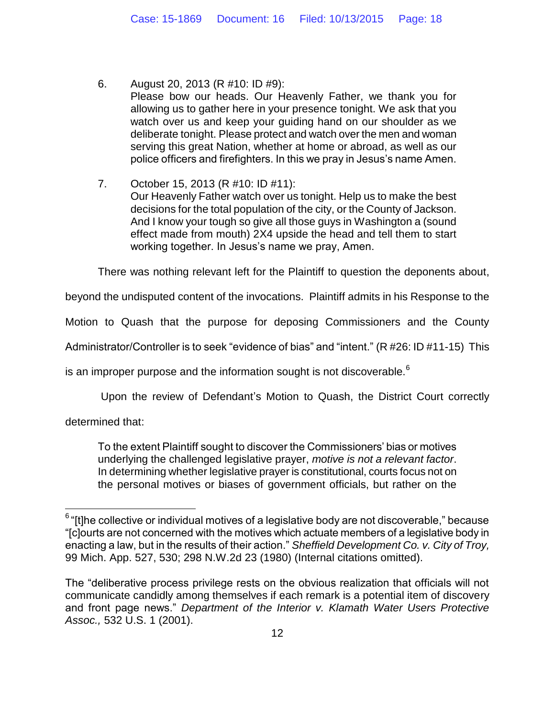6. August 20, 2013 (R #10: ID #9): Please bow our heads. Our Heavenly Father, we thank you for allowing us to gather here in your presence tonight. We ask that you watch over us and keep your guiding hand on our shoulder as we deliberate tonight. Please protect and watch over the men and woman serving this great Nation, whether at home or abroad, as well as our police officers and firefighters. In this we pray in Jesus's name Amen.

7. October 15, 2013 (R #10: ID #11): Our Heavenly Father watch over us tonight. Help us to make the best decisions for the total population of the city, or the County of Jackson. And I know your tough so give all those guys in Washington a (sound effect made from mouth) 2X4 upside the head and tell them to start working together. In Jesus's name we pray, Amen.

There was nothing relevant left for the Plaintiff to question the deponents about,

beyond the undisputed content of the invocations. Plaintiff admits in his Response to the

Motion to Quash that the purpose for deposing Commissioners and the County

Administrator/Controller is to seek "evidence of bias" and "intent." (R #26: ID #11-15) This

is an improper purpose and the information sought is not discoverable. $6$ 

Upon the review of Defendant's Motion to Quash, the District Court correctly

determined that:

 $\overline{a}$ 

To the extent Plaintiff sought to discover the Commissioners' bias or motives underlying the challenged legislative prayer, *motive is not a relevant factor*. In determining whether legislative prayer is constitutional, courts focus not on the personal motives or biases of government officials, but rather on the

 $^6$  "[t]he collective or individual motives of a legislative body are not discoverable," because "[c]ourts are not concerned with the motives which actuate members of a legislative body in enacting a law, but in the results of their action." *Sheffield Development Co. v. City of Troy,* 99 Mich. App. 527, 530; 298 N.W.2d 23 (1980) (Internal citations omitted).

The "deliberative process privilege rests on the obvious realization that officials will not communicate candidly among themselves if each remark is a potential item of discovery and front page news." *Department of the Interior v. Klamath Water Users Protective Assoc.,* 532 U.S. 1 (2001).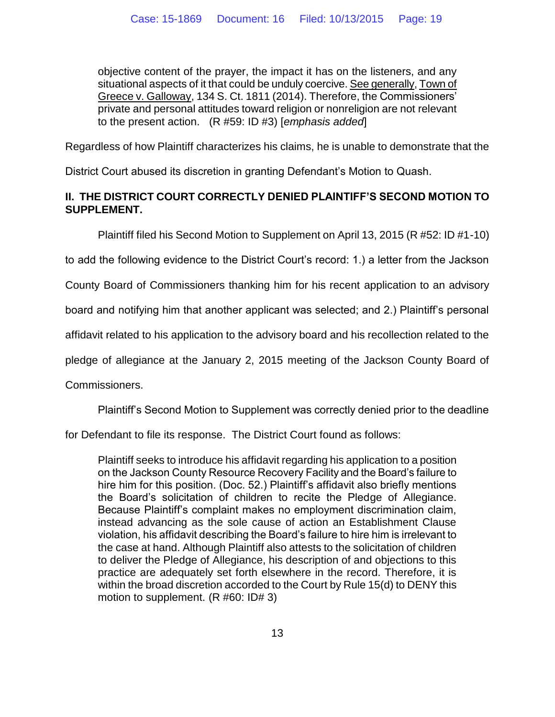objective content of the prayer, the impact it has on the listeners, and any situational aspects of it that could be unduly coercive. See generally, Town of Greece v. Galloway, 134 S. Ct. 1811 (2014). Therefore, the Commissioners' private and personal attitudes toward religion or nonreligion are not relevant to the present action. (R #59: ID #3) [*emphasis added*]

Regardless of how Plaintiff characterizes his claims, he is unable to demonstrate that the

District Court abused its discretion in granting Defendant's Motion to Quash.

## **II. THE DISTRICT COURT CORRECTLY DENIED PLAINTIFF'S SECOND MOTION TO SUPPLEMENT.**

Plaintiff filed his Second Motion to Supplement on April 13, 2015 (R #52: ID #1-10)

to add the following evidence to the District Court's record: 1.) a letter from the Jackson

County Board of Commissioners thanking him for his recent application to an advisory

board and notifying him that another applicant was selected; and 2.) Plaintiff's personal

affidavit related to his application to the advisory board and his recollection related to the

pledge of allegiance at the January 2, 2015 meeting of the Jackson County Board of

Commissioners.

Plaintiff's Second Motion to Supplement was correctly denied prior to the deadline

for Defendant to file its response. The District Court found as follows:

Plaintiff seeks to introduce his affidavit regarding his application to a position on the Jackson County Resource Recovery Facility and the Board's failure to hire him for this position. (Doc. 52.) Plaintiff's affidavit also briefly mentions the Board's solicitation of children to recite the Pledge of Allegiance. Because Plaintiff's complaint makes no employment discrimination claim, instead advancing as the sole cause of action an Establishment Clause violation, his affidavit describing the Board's failure to hire him is irrelevant to the case at hand. Although Plaintiff also attests to the solicitation of children to deliver the Pledge of Allegiance, his description of and objections to this practice are adequately set forth elsewhere in the record. Therefore, it is within the broad discretion accorded to the Court by Rule 15(d) to DENY this motion to supplement. (R #60: ID# 3)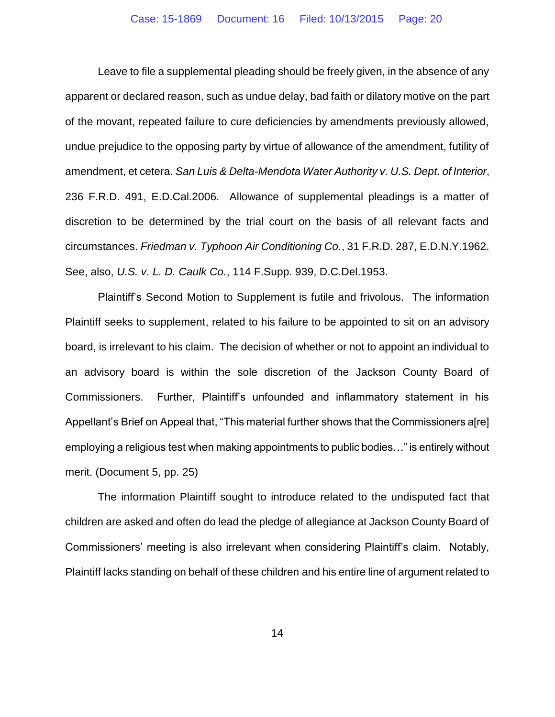Leave to file a supplemental pleading should be freely given, in the absence of any apparent or declared reason, such as undue delay, bad faith or dilatory motive on the part of the movant, repeated failure to cure deficiencies by amendments previously allowed, undue prejudice to the opposing party by virtue of allowance of the amendment, futility of amendment, et cetera. *San Luis & Delta-Mendota Water Authority v. U.S. Dept. of Interior*, 236 F.R.D. 491, E.D.Cal.2006. Allowance of supplemental pleadings is a matter of discretion to be determined by the trial court on the basis of all relevant facts and circumstances. *Friedman v. Typhoon Air Conditioning Co.*, 31 F.R.D. 287, E.D.N.Y.1962. See, also, *U.S. v. L. D. Caulk Co.*, 114 F.Supp. 939, D.C.Del.1953.

Plaintiff's Second Motion to Supplement is futile and frivolous. The information Plaintiff seeks to supplement, related to his failure to be appointed to sit on an advisory board, is irrelevant to his claim. The decision of whether or not to appoint an individual to an advisory board is within the sole discretion of the Jackson County Board of Commissioners. Further, Plaintiff's unfounded and inflammatory statement in his Appellant's Brief on Appeal that, "This material further shows that the Commissioners a[re] employing a religious test when making appointments to public bodies…" is entirely without merit. (Document 5, pp. 25)

The information Plaintiff sought to introduce related to the undisputed fact that children are asked and often do lead the pledge of allegiance at Jackson County Board of Commissioners' meeting is also irrelevant when considering Plaintiff's claim. Notably, Plaintiff lacks standing on behalf of these children and his entire line of argument related to

14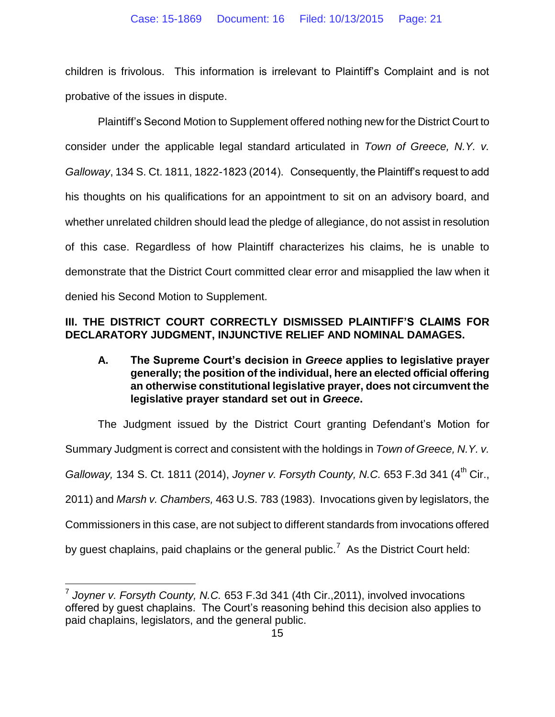children is frivolous. This information is irrelevant to Plaintiff's Complaint and is not probative of the issues in dispute.

Plaintiff's Second Motion to Supplement offered nothing new for the District Court to consider under the applicable legal standard articulated in *Town of Greece, N.Y. v. Galloway*, 134 S. Ct. 1811, 1822-1823 (2014). Consequently, the Plaintiff's request to add his thoughts on his qualifications for an appointment to sit on an advisory board, and whether unrelated children should lead the pledge of allegiance, do not assist in resolution of this case. Regardless of how Plaintiff characterizes his claims, he is unable to demonstrate that the District Court committed clear error and misapplied the law when it denied his Second Motion to Supplement.

## **III. THE DISTRICT COURT CORRECTLY DISMISSED PLAINTIFF'S CLAIMS FOR DECLARATORY JUDGMENT, INJUNCTIVE RELIEF AND NOMINAL DAMAGES.**

**A. The Supreme Court's decision in** *Greece* **applies to legislative prayer generally; the position of the individual, here an elected official offering an otherwise constitutional legislative prayer, does not circumvent the legislative prayer standard set out in** *Greece***.** 

The Judgment issued by the District Court granting Defendant's Motion for Summary Judgment is correct and consistent with the holdings in *Town of Greece, N.Y. v. Galloway*, 134 S. Ct. 1811 (2014), *Joyner v. Forsyth County, N.C.* 653 F.3d 341 (4<sup>th</sup> Cir., 2011) and *Marsh v. Chambers,* 463 U.S. 783 (1983). Invocations given by legislators, the Commissioners in this case, are not subject to different standards from invocations offered by guest chaplains, paid chaplains or the general public.<sup>7</sup> As the District Court held:

 7 *Joyner v. Forsyth County, N.C.* 653 F.3d 341 (4th Cir.,2011), involved invocations offered by guest chaplains. The Court's reasoning behind this decision also applies to paid chaplains, legislators, and the general public.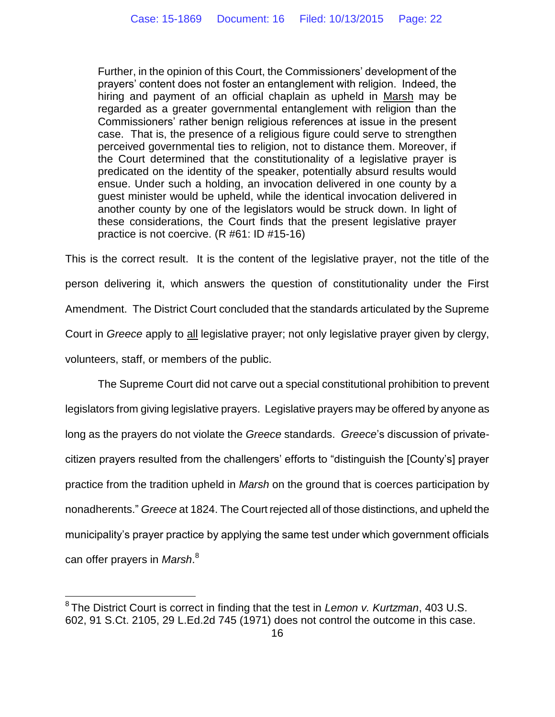Further, in the opinion of this Court, the Commissioners' development of the prayers' content does not foster an entanglement with religion. Indeed, the hiring and payment of an official chaplain as upheld in Marsh may be regarded as a greater governmental entanglement with religion than the Commissioners' rather benign religious references at issue in the present case. That is, the presence of a religious figure could serve to strengthen perceived governmental ties to religion, not to distance them. Moreover, if the Court determined that the constitutionality of a legislative prayer is predicated on the identity of the speaker, potentially absurd results would ensue. Under such a holding, an invocation delivered in one county by a guest minister would be upheld, while the identical invocation delivered in another county by one of the legislators would be struck down. In light of these considerations, the Court finds that the present legislative prayer practice is not coercive. (R #61: ID #15-16)

This is the correct result. It is the content of the legislative prayer, not the title of the person delivering it, which answers the question of constitutionality under the First Amendment. The District Court concluded that the standards articulated by the Supreme Court in *Greece* apply to all legislative prayer; not only legislative prayer given by clergy, volunteers, staff, or members of the public.

The Supreme Court did not carve out a special constitutional prohibition to prevent legislators from giving legislative prayers. Legislative prayers may be offered by anyone as long as the prayers do not violate the *Greece* standards. *Greece*'s discussion of privatecitizen prayers resulted from the challengers' efforts to "distinguish the [County's] prayer practice from the tradition upheld in *Marsh* on the ground that is coerces participation by nonadherents." *Greece* at 1824. The Court rejected all of those distinctions, and upheld the municipality's prayer practice by applying the same test under which government officials can offer prayers in *Marsh*. 8

 $\overline{a}$ 

<sup>8</sup> The District Court is correct in finding that the test in *Lemon v. Kurtzman*, 403 U.S. 602, 91 S.Ct. 2105, 29 L.Ed.2d 745 (1971) does not control the outcome in this case.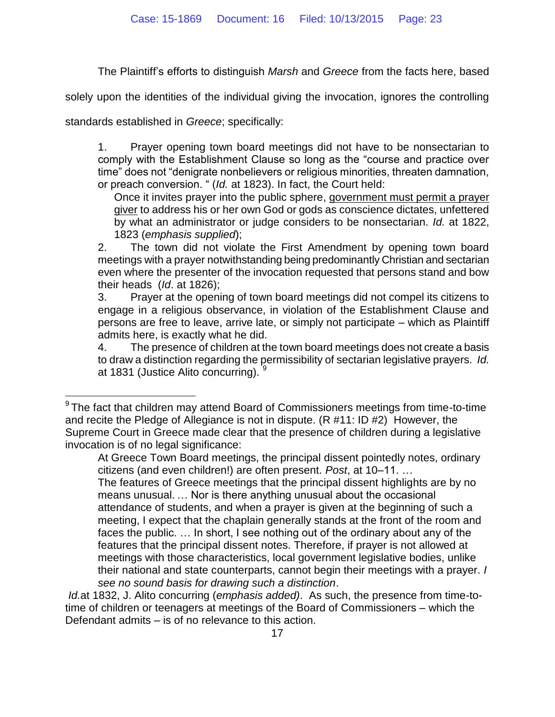The Plaintiff's efforts to distinguish *Marsh* and *Greece* from the facts here, based

solely upon the identities of the individual giving the invocation, ignores the controlling

standards established in *Greece*; specifically:

 $\overline{a}$ 

1. Prayer opening town board meetings did not have to be nonsectarian to comply with the Establishment Clause so long as the "course and practice over time" does not "denigrate nonbelievers or religious minorities, threaten damnation, or preach conversion. " (*Id.* at 1823). In fact, the Court held:

Once it invites prayer into the public sphere, government must permit a prayer giver to address his or her own God or gods as conscience dictates, unfettered by what an administrator or judge considers to be nonsectarian. *Id.* at 1822, 1823 (*emphasis supplied*);

2. The town did not violate the First Amendment by opening town board meetings with a prayer notwithstanding being predominantly Christian and sectarian even where the presenter of the invocation requested that persons stand and bow their heads (*Id*. at 1826);

3. Prayer at the opening of town board meetings did not compel its citizens to engage in a religious observance, in violation of the Establishment Clause and persons are free to leave, arrive late, or simply not participate – which as Plaintiff admits here, is exactly what he did.

4. The presence of children at the town board meetings does not create a basis to draw a distinction regarding the permissibility of sectarian legislative prayers. *Id.* at 1831 (Justice Alito concurring).

At Greece Town Board meetings, the principal dissent pointedly notes, ordinary citizens (and even children!) are often present. *Post*, at 10–11. …

The features of Greece meetings that the principal dissent highlights are by no means unusual. … Nor is there anything unusual about the occasional attendance of students, and when a prayer is given at the beginning of such a meeting, I expect that the chaplain generally stands at the front of the room and faces the public. … In short, I see nothing out of the ordinary about any of the features that the principal dissent notes. Therefore, if prayer is not allowed at meetings with those characteristics, local government legislative bodies, unlike their national and state counterparts, cannot begin their meetings with a prayer. *I see no sound basis for drawing such a distinction*.

*Id.*at 1832, J. Alito concurring (*emphasis added)*. As such, the presence from time-totime of children or teenagers at meetings of the Board of Commissioners – which the Defendant admits – is of no relevance to this action.

 $9$ The fact that children may attend Board of Commissioners meetings from time-to-time and recite the Pledge of Allegiance is not in dispute. (R #11: ID #2) However, the Supreme Court in Greece made clear that the presence of children during a legislative invocation is of no legal significance: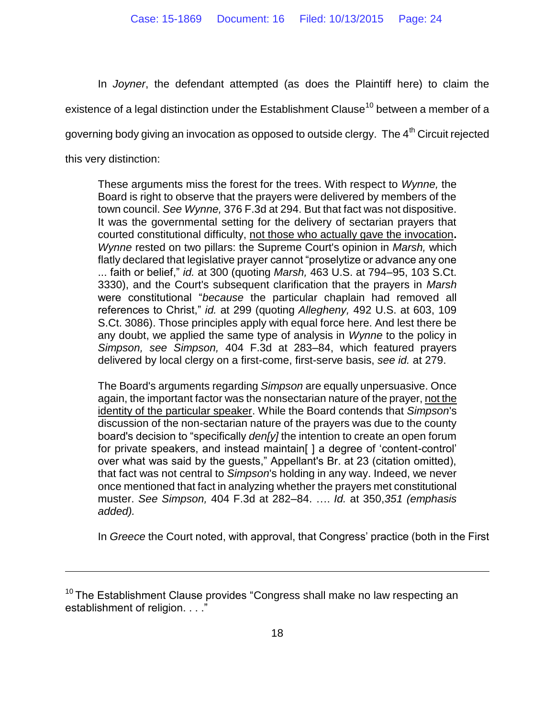In *Joyner*, the defendant attempted (as does the Plaintiff here) to claim the existence of a legal distinction under the Establishment Clause<sup>10</sup> between a member of a governing body giving an invocation as opposed to outside clergy. The  $4<sup>th</sup>$  Circuit rejected this very distinction:

These arguments miss the forest for the trees. With respect to *Wynne,* the Board is right to observe that the prayers were delivered by members of the town council. *See Wynne,* 376 F.3d at 294. But that fact was not dispositive. It was the governmental setting for the delivery of sectarian prayers that courted constitutional difficulty, not those who actually gave the invocation**.** *Wynne* rested on two pillars: the Supreme Court's opinion in *Marsh,* which flatly declared that legislative prayer cannot "proselytize or advance any one ... faith or belief," *id.* at 300 (quoting *Marsh,* 463 U.S. at 794–95, 103 S.Ct. 3330), and the Court's subsequent clarification that the prayers in *Marsh* were constitutional "*because* the particular chaplain had removed all references to Christ," *id.* at 299 (quoting *Allegheny,* 492 U.S. at 603, 109 S.Ct. 3086). Those principles apply with equal force here. And lest there be any doubt, we applied the same type of analysis in *Wynne* to the policy in *Simpson, see Simpson,* 404 F.3d at 283–84, which featured prayers delivered by local clergy on a first-come, first-serve basis, *see id.* at 279.

The Board's arguments regarding *Simpson* are equally unpersuasive. Once again, the important factor was the nonsectarian nature of the prayer, not the identity of the particular speaker. While the Board contends that *Simpson*'s discussion of the non-sectarian nature of the prayers was due to the county board's decision to "specifically *den[y]* the intention to create an open forum for private speakers, and instead maintain[ ] a degree of 'content-control' over what was said by the guests," Appellant's Br. at 23 (citation omitted), that fact was not central to *Simpson*'s holding in any way. Indeed, we never once mentioned that fact in analyzing whether the prayers met constitutional muster. *See Simpson,* 404 F.3d at 282–84. …. *Id.* at 350,*351 (emphasis added).* 

In *Greece* the Court noted, with approval, that Congress' practice (both in the First

 $\overline{a}$ 

 $10$  The Establishment Clause provides "Congress shall make no law respecting an establishment of religion. . . ."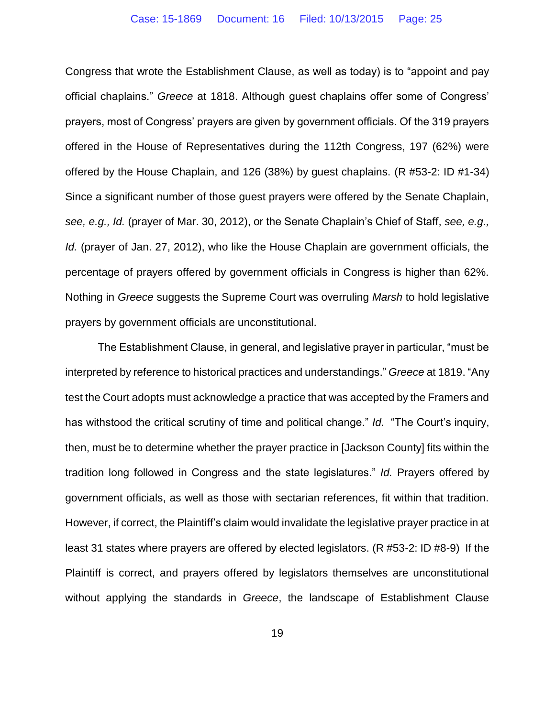Congress that wrote the Establishment Clause, as well as today) is to "appoint and pay official chaplains." *Greece* at 1818. Although guest chaplains offer some of Congress' prayers, most of Congress' prayers are given by government officials. Of the 319 prayers offered in the House of Representatives during the 112th Congress, 197 (62%) were offered by the House Chaplain, and 126 (38%) by guest chaplains. (R #53-2: ID #1-34) Since a significant number of those guest prayers were offered by the Senate Chaplain, *see, e.g., Id.* (prayer of Mar. 30, 2012), or the Senate Chaplain's Chief of Staff, *see, e.g., Id.* (prayer of Jan. 27, 2012), who like the House Chaplain are government officials, the percentage of prayers offered by government officials in Congress is higher than 62%. Nothing in *Greece* suggests the Supreme Court was overruling *Marsh* to hold legislative prayers by government officials are unconstitutional.

The Establishment Clause, in general, and legislative prayer in particular, "must be interpreted by reference to historical practices and understandings." *Greece* at 1819. "Any test the Court adopts must acknowledge a practice that was accepted by the Framers and has withstood the critical scrutiny of time and political change." *Id.* "The Court's inquiry, then, must be to determine whether the prayer practice in [Jackson County] fits within the tradition long followed in Congress and the state legislatures." *Id.* Prayers offered by government officials, as well as those with sectarian references, fit within that tradition. However, if correct, the Plaintiff's claim would invalidate the legislative prayer practice in at least 31 states where prayers are offered by elected legislators. (R #53-2: ID #8-9) If the Plaintiff is correct, and prayers offered by legislators themselves are unconstitutional without applying the standards in *Greece*, the landscape of Establishment Clause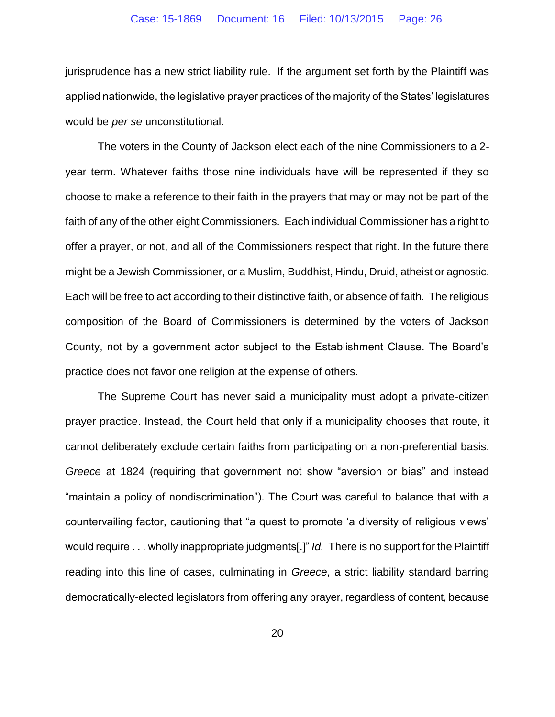jurisprudence has a new strict liability rule. If the argument set forth by the Plaintiff was applied nationwide, the legislative prayer practices of the majority of the States' legislatures would be *per se* unconstitutional.

The voters in the County of Jackson elect each of the nine Commissioners to a 2 year term. Whatever faiths those nine individuals have will be represented if they so choose to make a reference to their faith in the prayers that may or may not be part of the faith of any of the other eight Commissioners. Each individual Commissioner has a right to offer a prayer, or not, and all of the Commissioners respect that right. In the future there might be a Jewish Commissioner, or a Muslim, Buddhist, Hindu, Druid, atheist or agnostic. Each will be free to act according to their distinctive faith, or absence of faith. The religious composition of the Board of Commissioners is determined by the voters of Jackson County, not by a government actor subject to the Establishment Clause. The Board's practice does not favor one religion at the expense of others.

The Supreme Court has never said a municipality must adopt a private-citizen prayer practice. Instead, the Court held that only if a municipality chooses that route, it cannot deliberately exclude certain faiths from participating on a non-preferential basis. *Greece* at 1824 (requiring that government not show "aversion or bias" and instead "maintain a policy of nondiscrimination"). The Court was careful to balance that with a countervailing factor, cautioning that "a quest to promote 'a diversity of religious views' would require . . . wholly inappropriate judgments[.]" *Id.* There is no support for the Plaintiff reading into this line of cases, culminating in *Greece*, a strict liability standard barring democratically-elected legislators from offering any prayer, regardless of content, because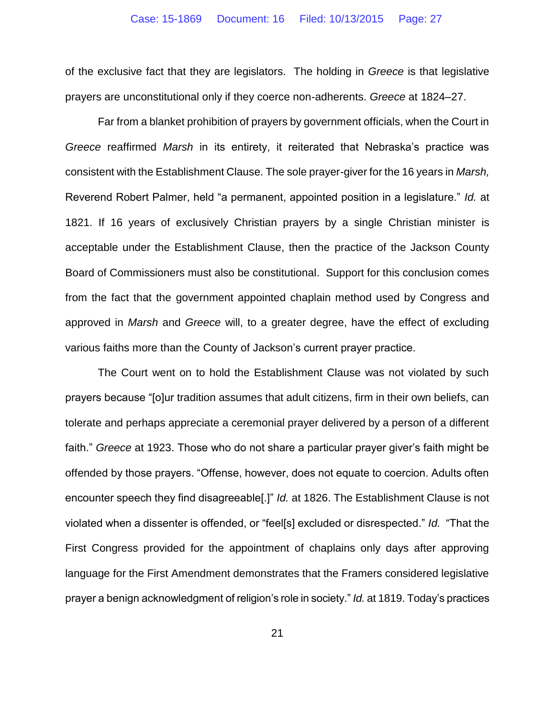of the exclusive fact that they are legislators. The holding in *Greece* is that legislative prayers are unconstitutional only if they coerce non-adherents. *Greece* at 1824–27.

Far from a blanket prohibition of prayers by government officials, when the Court in *Greece* reaffirmed *Marsh* in its entirety, it reiterated that Nebraska's practice was consistent with the Establishment Clause. The sole prayer-giver for the 16 years in *Marsh,*  Reverend Robert Palmer, held "a permanent, appointed position in a legislature." *Id.* at 1821. If 16 years of exclusively Christian prayers by a single Christian minister is acceptable under the Establishment Clause, then the practice of the Jackson County Board of Commissioners must also be constitutional. Support for this conclusion comes from the fact that the government appointed chaplain method used by Congress and approved in *Marsh* and *Greece* will, to a greater degree, have the effect of excluding various faiths more than the County of Jackson's current prayer practice.

The Court went on to hold the Establishment Clause was not violated by such prayers because "[o]ur tradition assumes that adult citizens, firm in their own beliefs, can tolerate and perhaps appreciate a ceremonial prayer delivered by a person of a different faith." *Greece* at 1923. Those who do not share a particular prayer giver's faith might be offended by those prayers. "Offense, however, does not equate to coercion. Adults often encounter speech they find disagreeable[.]" *Id.* at 1826. The Establishment Clause is not violated when a dissenter is offended, or "feel[s] excluded or disrespected." *Id.* "That the First Congress provided for the appointment of chaplains only days after approving language for the First Amendment demonstrates that the Framers considered legislative prayer a benign acknowledgment of religion's role in society." *Id.* at 1819. Today's practices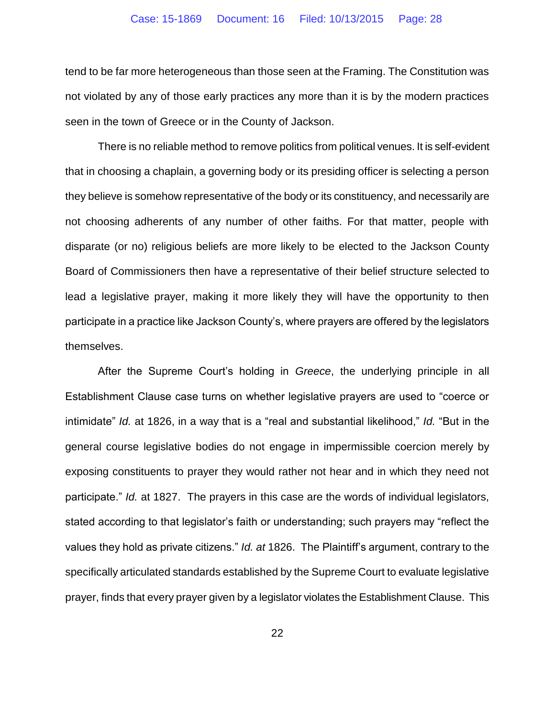tend to be far more heterogeneous than those seen at the Framing. The Constitution was not violated by any of those early practices any more than it is by the modern practices seen in the town of Greece or in the County of Jackson.

There is no reliable method to remove politics from political venues. It is self-evident that in choosing a chaplain, a governing body or its presiding officer is selecting a person they believe is somehow representative of the body or its constituency, and necessarily are not choosing adherents of any number of other faiths. For that matter, people with disparate (or no) religious beliefs are more likely to be elected to the Jackson County Board of Commissioners then have a representative of their belief structure selected to lead a legislative prayer, making it more likely they will have the opportunity to then participate in a practice like Jackson County's, where prayers are offered by the legislators themselves.

After the Supreme Court's holding in *Greece*, the underlying principle in all Establishment Clause case turns on whether legislative prayers are used to "coerce or intimidate" *Id.* at 1826, in a way that is a "real and substantial likelihood," *Id.* "But in the general course legislative bodies do not engage in impermissible coercion merely by exposing constituents to prayer they would rather not hear and in which they need not participate." *Id.* at 1827.The prayers in this case are the words of individual legislators, stated according to that legislator's faith or understanding; such prayers may "reflect the values they hold as private citizens." *Id. at* 1826. The Plaintiff's argument, contrary to the specifically articulated standards established by the Supreme Court to evaluate legislative prayer, finds that every prayer given by a legislator violates the Establishment Clause. This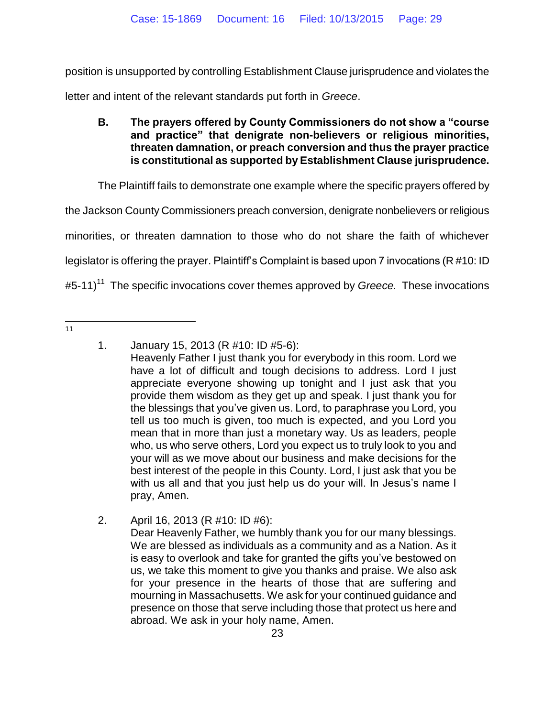position is unsupported by controlling Establishment Clause jurisprudence and violates the letter and intent of the relevant standards put forth in *Greece*.

## **B. The prayers offered by County Commissioners do not show a "course and practice" that denigrate non-believers or religious minorities, threaten damnation, or preach conversion and thus the prayer practice is constitutional as supported by Establishment Clause jurisprudence.**

The Plaintiff fails to demonstrate one example where the specific prayers offered by

the Jackson County Commissioners preach conversion, denigrate nonbelievers or religious

minorities, or threaten damnation to those who do not share the faith of whichever

legislator is offering the prayer. Plaintiff's Complaint is based upon 7 invocations (R #10: ID

#5-11) <sup>11</sup> The specific invocations cover themes approved by *Greece.* These invocations

 $\frac{1}{11}$ 

<sup>1.</sup> January 15, 2013 (R #10: ID #5-6):

Heavenly Father I just thank you for everybody in this room. Lord we have a lot of difficult and tough decisions to address. Lord I just appreciate everyone showing up tonight and I just ask that you provide them wisdom as they get up and speak. I just thank you for the blessings that you've given us. Lord, to paraphrase you Lord, you tell us too much is given, too much is expected, and you Lord you mean that in more than just a monetary way. Us as leaders, people who, us who serve others, Lord you expect us to truly look to you and your will as we move about our business and make decisions for the best interest of the people in this County. Lord, I just ask that you be with us all and that you just help us do your will. In Jesus's name I pray, Amen.

<sup>2.</sup> April 16, 2013 (R #10: ID #6): Dear Heavenly Father, we humbly thank you for our many blessings. We are blessed as individuals as a community and as a Nation. As it is easy to overlook and take for granted the gifts you've bestowed on us, we take this moment to give you thanks and praise. We also ask for your presence in the hearts of those that are suffering and mourning in Massachusetts. We ask for your continued guidance and presence on those that serve including those that protect us here and abroad. We ask in your holy name, Amen.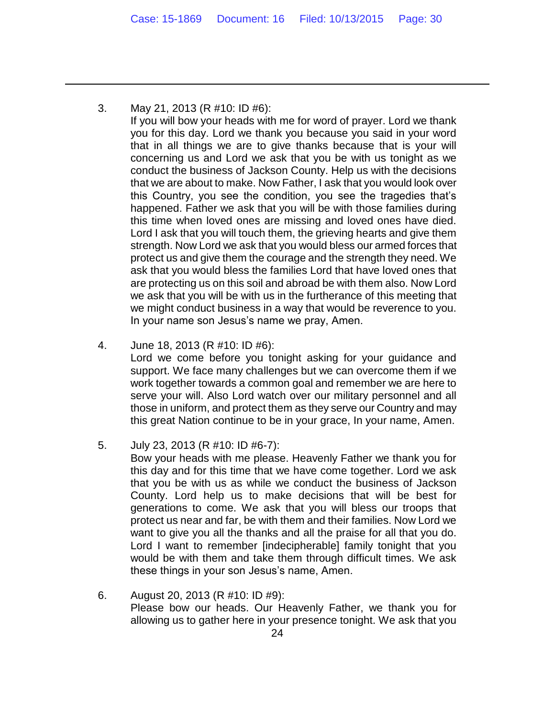3. May 21, 2013 (R #10: ID #6):

 $\overline{a}$ 

If you will bow your heads with me for word of prayer. Lord we thank you for this day. Lord we thank you because you said in your word that in all things we are to give thanks because that is your will concerning us and Lord we ask that you be with us tonight as we conduct the business of Jackson County. Help us with the decisions that we are about to make. Now Father, I ask that you would look over this Country, you see the condition, you see the tragedies that's happened. Father we ask that you will be with those families during this time when loved ones are missing and loved ones have died. Lord I ask that you will touch them, the grieving hearts and give them strength. Now Lord we ask that you would bless our armed forces that protect us and give them the courage and the strength they need. We ask that you would bless the families Lord that have loved ones that are protecting us on this soil and abroad be with them also. Now Lord we ask that you will be with us in the furtherance of this meeting that we might conduct business in a way that would be reverence to you. In your name son Jesus's name we pray, Amen.

4. June 18, 2013 (R #10: ID #6):

Lord we come before you tonight asking for your guidance and support. We face many challenges but we can overcome them if we work together towards a common goal and remember we are here to serve your will. Also Lord watch over our military personnel and all those in uniform, and protect them as they serve our Country and may this great Nation continue to be in your grace, In your name, Amen.

- 5. July 23, 2013 (R #10: ID #6-7): Bow your heads with me please. Heavenly Father we thank you for this day and for this time that we have come together. Lord we ask that you be with us as while we conduct the business of Jackson County. Lord help us to make decisions that will be best for generations to come. We ask that you will bless our troops that protect us near and far, be with them and their families. Now Lord we want to give you all the thanks and all the praise for all that you do. Lord I want to remember [indecipherable] family tonight that you would be with them and take them through difficult times. We ask these things in your son Jesus's name, Amen.
- 6. August 20, 2013 (R #10: ID #9): Please bow our heads. Our Heavenly Father, we thank you for allowing us to gather here in your presence tonight. We ask that you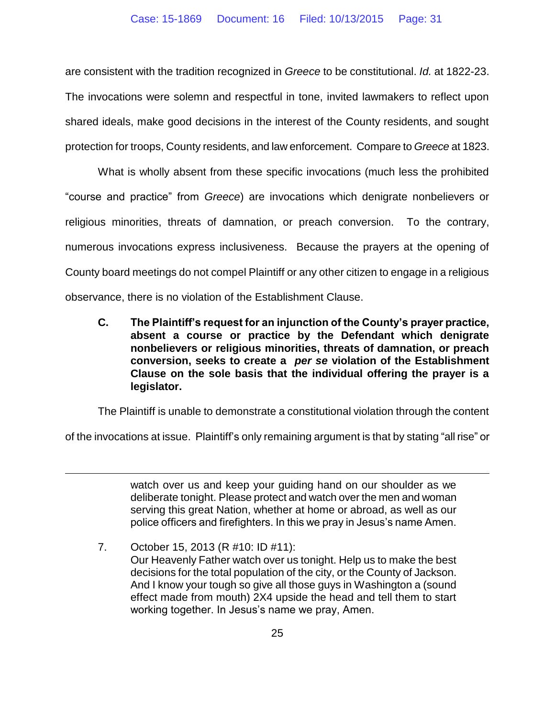are consistent with the tradition recognized in *Greece* to be constitutional. *Id.* at 1822-23. The invocations were solemn and respectful in tone, invited lawmakers to reflect upon shared ideals, make good decisions in the interest of the County residents, and sought protection for troops, County residents, and law enforcement. Compare to *Greece* at 1823.

What is wholly absent from these specific invocations (much less the prohibited "course and practice" from *Greece*) are invocations which denigrate nonbelievers or religious minorities, threats of damnation, or preach conversion. To the contrary, numerous invocations express inclusiveness. Because the prayers at the opening of County board meetings do not compel Plaintiff or any other citizen to engage in a religious observance, there is no violation of the Establishment Clause.

**C. The Plaintiff's request for an injunction of the County's prayer practice, absent a course or practice by the Defendant which denigrate nonbelievers or religious minorities, threats of damnation, or preach conversion, seeks to create a** *per se* **violation of the Establishment Clause on the sole basis that the individual offering the prayer is a legislator.** 

The Plaintiff is unable to demonstrate a constitutional violation through the content

of the invocations at issue. Plaintiff's only remaining argument is that by stating "all rise" or

 $\overline{a}$ 

watch over us and keep your guiding hand on our shoulder as we deliberate tonight. Please protect and watch over the men and woman serving this great Nation, whether at home or abroad, as well as our police officers and firefighters. In this we pray in Jesus's name Amen.

7. October 15, 2013 (R #10: ID #11): Our Heavenly Father watch over us tonight. Help us to make the best decisions for the total population of the city, or the County of Jackson. And I know your tough so give all those guys in Washington a (sound effect made from mouth) 2X4 upside the head and tell them to start working together. In Jesus's name we pray, Amen.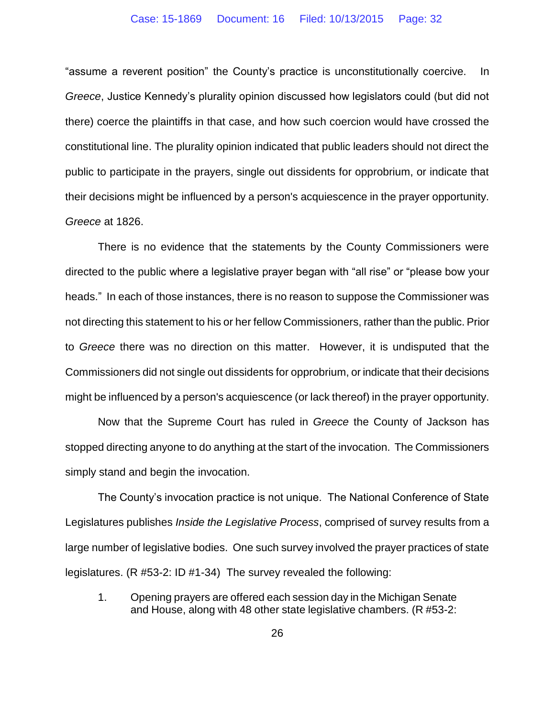"assume a reverent position" the County's practice is unconstitutionally coercive. In *Greece*, Justice Kennedy's plurality opinion discussed how legislators could (but did not there) coerce the plaintiffs in that case, and how such coercion would have crossed the constitutional line. The plurality opinion indicated that public leaders should not direct the public to participate in the prayers, single out dissidents for opprobrium, or indicate that their decisions might be influenced by a person's acquiescence in the prayer opportunity. *Greece* at 1826.

There is no evidence that the statements by the County Commissioners were directed to the public where a legislative prayer began with "all rise" or "please bow your heads." In each of those instances, there is no reason to suppose the Commissioner was not directing this statement to his or her fellow Commissioners, rather than the public. Prior to *Greece* there was no direction on this matter. However, it is undisputed that the Commissioners did not single out dissidents for opprobrium, or indicate that their decisions might be influenced by a person's acquiescence (or lack thereof) in the prayer opportunity.

Now that the Supreme Court has ruled in *Greece* the County of Jackson has stopped directing anyone to do anything at the start of the invocation. The Commissioners simply stand and begin the invocation.

The County's invocation practice is not unique. The National Conference of State Legislatures publishes *Inside the Legislative Process*, comprised of survey results from a large number of legislative bodies. One such survey involved the prayer practices of state legislatures. (R #53-2: ID #1-34) The survey revealed the following:

1. Opening prayers are offered each session day in the Michigan Senate and House, along with 48 other state legislative chambers. (R #53-2: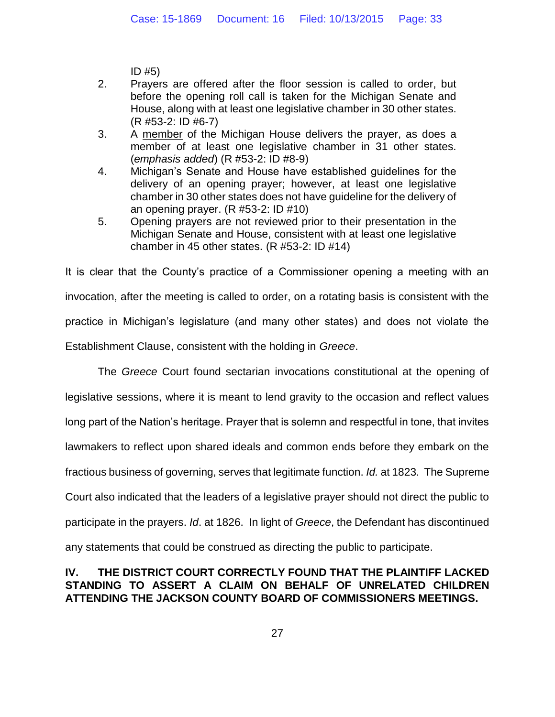ID #5)

- 2. Prayers are offered after the floor session is called to order, but before the opening roll call is taken for the Michigan Senate and House, along with at least one legislative chamber in 30 other states. (R #53-2: ID #6-7)
- 3. A member of the Michigan House delivers the prayer, as does a member of at least one legislative chamber in 31 other states. (*emphasis added*) (R #53-2: ID #8-9)
- 4. Michigan's Senate and House have established guidelines for the delivery of an opening prayer; however, at least one legislative chamber in 30 other states does not have guideline for the delivery of an opening prayer. (R #53-2: ID #10)
- 5. Opening prayers are not reviewed prior to their presentation in the Michigan Senate and House, consistent with at least one legislative chamber in 45 other states.  $(R #53-2: ID #14)$

It is clear that the County's practice of a Commissioner opening a meeting with an invocation, after the meeting is called to order, on a rotating basis is consistent with the practice in Michigan's legislature (and many other states) and does not violate the Establishment Clause, consistent with the holding in *Greece*.

The *Greece* Court found sectarian invocations constitutional at the opening of legislative sessions, where it is meant to lend gravity to the occasion and reflect values long part of the Nation's heritage. Prayer that is solemn and respectful in tone, that invites lawmakers to reflect upon shared ideals and common ends before they embark on the fractious business of governing, serves that legitimate function. *Id.* at 1823*.* The Supreme Court also indicated that the leaders of a legislative prayer should not direct the public to participate in the prayers. *Id*. at 1826. In light of *Greece*, the Defendant has discontinued any statements that could be construed as directing the public to participate.

## **IV. THE DISTRICT COURT CORRECTLY FOUND THAT THE PLAINTIFF LACKED STANDING TO ASSERT A CLAIM ON BEHALF OF UNRELATED CHILDREN ATTENDING THE JACKSON COUNTY BOARD OF COMMISSIONERS MEETINGS.**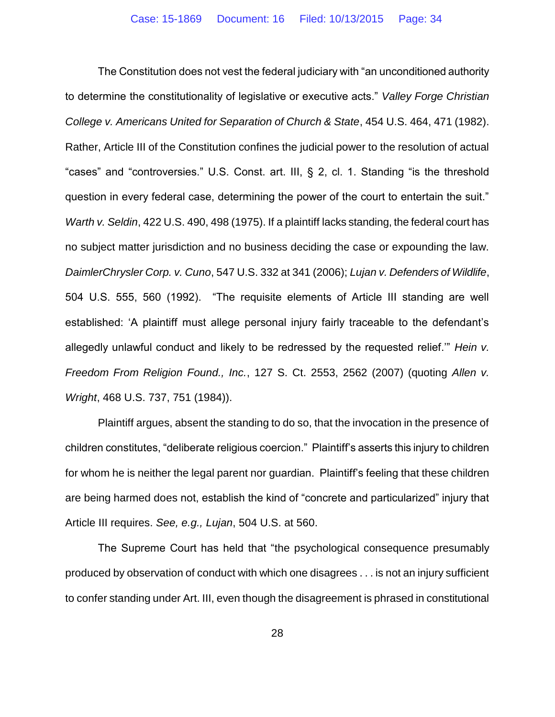The Constitution does not vest the federal judiciary with "an unconditioned authority to determine the constitutionality of legislative or executive acts." *Valley Forge Christian College v. Americans United for Separation of Church & State*, 454 U.S. 464, 471 (1982). Rather, Article III of the Constitution confines the judicial power to the resolution of actual "cases" and "controversies." U.S. Const. art. III, § 2, cl. 1. Standing "is the threshold question in every federal case, determining the power of the court to entertain the suit." *Warth v. Seldin*, 422 U.S. 490, 498 (1975). If a plaintiff lacks standing, the federal court has no subject matter jurisdiction and no business deciding the case or expounding the law. *DaimlerChrysler Corp. v. Cuno*, 547 U.S. 332 at 341 (2006); *Lujan v. Defenders of Wildlife*, 504 U.S. 555, 560 (1992). "The requisite elements of Article III standing are well established: 'A plaintiff must allege personal injury fairly traceable to the defendant's allegedly unlawful conduct and likely to be redressed by the requested relief.'" *Hein v. Freedom From Religion Found., Inc.*, 127 S. Ct. 2553, 2562 (2007) (quoting *Allen v. Wright*, 468 U.S. 737, 751 (1984)).

Plaintiff argues, absent the standing to do so, that the invocation in the presence of children constitutes, "deliberate religious coercion." Plaintiff's asserts this injury to children for whom he is neither the legal parent nor guardian. Plaintiff's feeling that these children are being harmed does not, establish the kind of "concrete and particularized" injury that Article III requires. *See, e.g., Lujan*, 504 U.S. at 560.

The Supreme Court has held that "the psychological consequence presumably produced by observation of conduct with which one disagrees . . . is not an injury sufficient to confer standing under Art. III, even though the disagreement is phrased in constitutional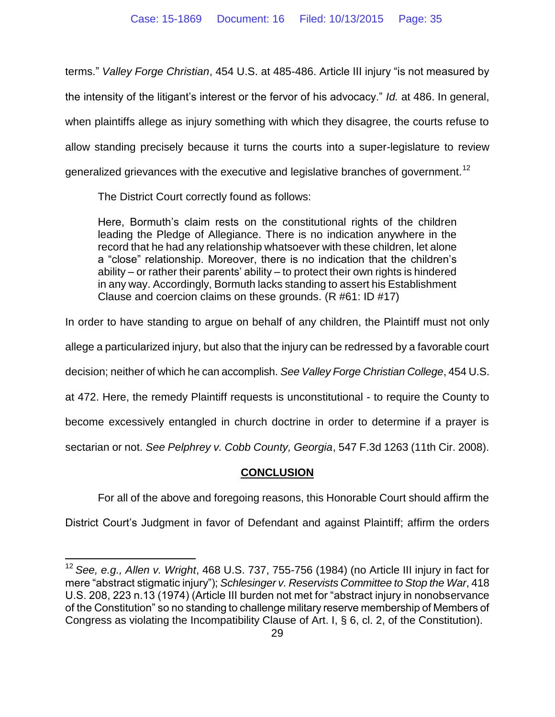terms." *Valley Forge Christian*, 454 U.S. at 485-486. Article III injury "is not measured by the intensity of the litigant's interest or the fervor of his advocacy." *Id.* at 486. In general, when plaintiffs allege as injury something with which they disagree, the courts refuse to allow standing precisely because it turns the courts into a super-legislature to review generalized grievances with the executive and legislative branches of government.<sup>12</sup>

The District Court correctly found as follows:

 $\overline{a}$ 

Here, Bormuth's claim rests on the constitutional rights of the children leading the Pledge of Allegiance. There is no indication anywhere in the record that he had any relationship whatsoever with these children, let alone a "close" relationship. Moreover, there is no indication that the children's ability – or rather their parents' ability – to protect their own rights is hindered in any way. Accordingly, Bormuth lacks standing to assert his Establishment Clause and coercion claims on these grounds. (R #61: ID #17)

In order to have standing to argue on behalf of any children, the Plaintiff must not only

allege a particularized injury, but also that the injury can be redressed by a favorable court

decision; neither of which he can accomplish. *See Valley Forge Christian College*, 454 U.S.

at 472. Here, the remedy Plaintiff requests is unconstitutional - to require the County to

become excessively entangled in church doctrine in order to determine if a prayer is

sectarian or not. *See Pelphrey v. Cobb County, Georgia*, 547 F.3d 1263 (11th Cir. 2008).

### **CONCLUSION**

For all of the above and foregoing reasons, this Honorable Court should affirm the

District Court's Judgment in favor of Defendant and against Plaintiff; affirm the orders

<sup>12</sup> *See, e.g., Allen v. Wright*, 468 U.S. 737, 755-756 (1984) (no Article III injury in fact for mere "abstract stigmatic injury"); *Schlesinger v. Reservists Committee to Stop the War*, 418 U.S. 208, 223 n.13 (1974) (Article III burden not met for "abstract injury in nonobservance of the Constitution" so no standing to challenge military reserve membership of Members of Congress as violating the Incompatibility Clause of Art. I, § 6, cl. 2, of the Constitution).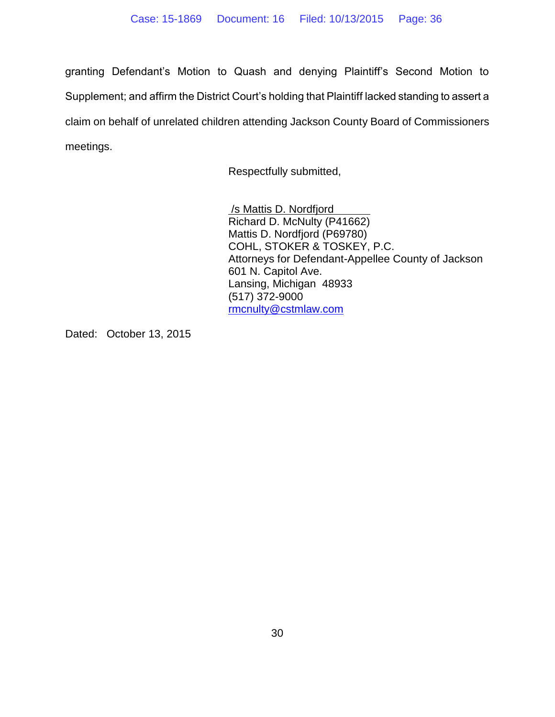granting Defendant's Motion to Quash and denying Plaintiff's Second Motion to Supplement; and affirm the District Court's holding that Plaintiff lacked standing to assert a claim on behalf of unrelated children attending Jackson County Board of Commissioners meetings.

Respectfully submitted,

/s Mattis D. Nordfjord Richard D. McNulty (P41662) Mattis D. Nordfjord (P69780) COHL, STOKER & TOSKEY, P.C. Attorneys for Defendant-Appellee County of Jackson 601 N. Capitol Ave. Lansing, Michigan 48933 (517) 372-9000 [rmcnulty@cstmlaw.com](mailto:rmcnulty@cstmlaw.com)

Dated: October 13, 2015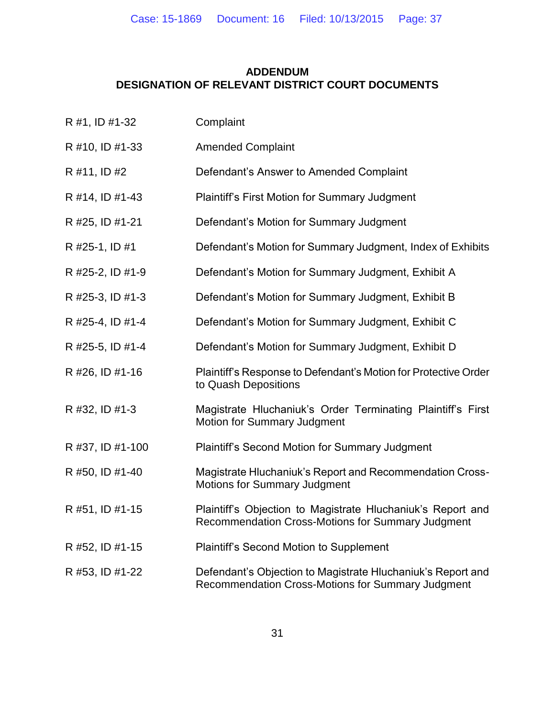## **ADDENDUM DESIGNATION OF RELEVANT DISTRICT COURT DOCUMENTS**

| R #1, ID #1-32   | Complaint                                                                                                        |
|------------------|------------------------------------------------------------------------------------------------------------------|
| R #10, ID #1-33  | <b>Amended Complaint</b>                                                                                         |
| R #11, ID #2     | Defendant's Answer to Amended Complaint                                                                          |
| R #14, ID #1-43  | <b>Plaintiff's First Motion for Summary Judgment</b>                                                             |
| R #25, ID #1-21  | Defendant's Motion for Summary Judgment                                                                          |
| R #25-1, ID #1   | Defendant's Motion for Summary Judgment, Index of Exhibits                                                       |
| R #25-2, ID #1-9 | Defendant's Motion for Summary Judgment, Exhibit A                                                               |
| R #25-3, ID #1-3 | Defendant's Motion for Summary Judgment, Exhibit B                                                               |
| R #25-4, ID #1-4 | Defendant's Motion for Summary Judgment, Exhibit C                                                               |
| R #25-5, ID #1-4 | Defendant's Motion for Summary Judgment, Exhibit D                                                               |
| R #26, ID #1-16  | Plaintiff's Response to Defendant's Motion for Protective Order<br>to Quash Depositions                          |
| R #32, ID #1-3   | Magistrate Hluchaniuk's Order Terminating Plaintiff's First<br><b>Motion for Summary Judgment</b>                |
| R #37, ID #1-100 | Plaintiff's Second Motion for Summary Judgment                                                                   |
| R #50, ID #1-40  | Magistrate Hluchaniuk's Report and Recommendation Cross-<br><b>Motions for Summary Judgment</b>                  |
| R #51, ID #1-15  | Plaintiff's Objection to Magistrate Hluchaniuk's Report and<br>Recommendation Cross-Motions for Summary Judgment |
| R #52, ID #1-15  | Plaintiff's Second Motion to Supplement                                                                          |
| R #53, ID #1-22  | Defendant's Objection to Magistrate Hluchaniuk's Report and<br>Recommendation Cross-Motions for Summary Judgment |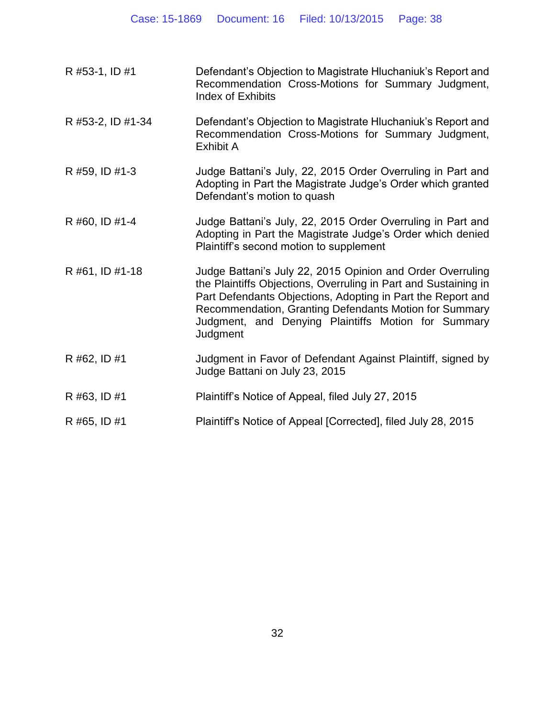| R #53-1, ID #1    | Defendant's Objection to Magistrate Hluchaniuk's Report and<br>Recommendation Cross-Motions for Summary Judgment,<br><b>Index of Exhibits</b>                                                                                                                                                                             |
|-------------------|---------------------------------------------------------------------------------------------------------------------------------------------------------------------------------------------------------------------------------------------------------------------------------------------------------------------------|
| R #53-2, ID #1-34 | Defendant's Objection to Magistrate Hluchaniuk's Report and<br>Recommendation Cross-Motions for Summary Judgment,<br><b>Exhibit A</b>                                                                                                                                                                                     |
| R #59, ID #1-3    | Judge Battani's July, 22, 2015 Order Overruling in Part and<br>Adopting in Part the Magistrate Judge's Order which granted<br>Defendant's motion to quash                                                                                                                                                                 |
| R #60, ID #1-4    | Judge Battani's July, 22, 2015 Order Overruling in Part and<br>Adopting in Part the Magistrate Judge's Order which denied<br>Plaintiff's second motion to supplement                                                                                                                                                      |
| R #61, ID #1-18   | Judge Battani's July 22, 2015 Opinion and Order Overruling<br>the Plaintiffs Objections, Overruling in Part and Sustaining in<br>Part Defendants Objections, Adopting in Part the Report and<br>Recommendation, Granting Defendants Motion for Summary<br>Judgment, and Denying Plaintiffs Motion for Summary<br>Judgment |
| R #62, ID #1      | Judgment in Favor of Defendant Against Plaintiff, signed by<br>Judge Battani on July 23, 2015                                                                                                                                                                                                                             |
| R #63, ID #1      | Plaintiff's Notice of Appeal, filed July 27, 2015                                                                                                                                                                                                                                                                         |
| R #65, ID #1      | Plaintiff's Notice of Appeal [Corrected], filed July 28, 2015                                                                                                                                                                                                                                                             |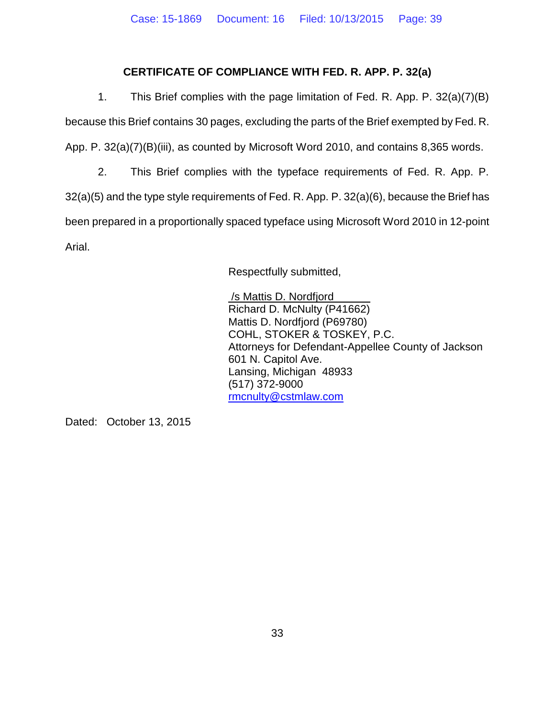## **CERTIFICATE OF COMPLIANCE WITH FED. R. APP. P. 32(a)**

1. This Brief complies with the page limitation of Fed. R. App. P. 32(a)(7)(B) because this Brief contains 30 pages, excluding the parts of the Brief exempted by Fed. R. App. P. 32(a)(7)(B)(iii), as counted by Microsoft Word 2010, and contains 8,365 words.

2. This Brief complies with the typeface requirements of Fed. R. App. P. 32(a)(5) and the type style requirements of Fed. R. App. P. 32(a)(6), because the Brief has been prepared in a proportionally spaced typeface using Microsoft Word 2010 in 12-point Arial.

Respectfully submitted,

/s Mattis D. Nordfjord Richard D. McNulty (P41662) Mattis D. Nordfjord (P69780) COHL, STOKER & TOSKEY, P.C. Attorneys for Defendant-Appellee County of Jackson 601 N. Capitol Ave. Lansing, Michigan 48933 (517) 372-9000 [rmcnulty@cstmlaw.com](mailto:rmcnulty@cstmlaw.com)

Dated: October 13, 2015